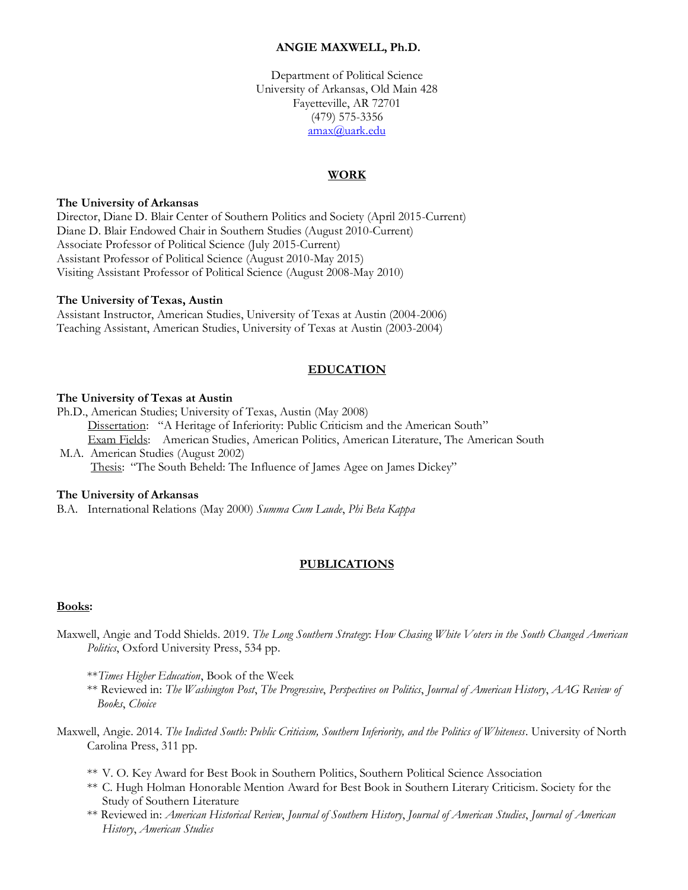### **ANGIE MAXWELL, Ph.D.**

Department of Political Science University of Arkansas, Old Main 428 Fayetteville, AR 72701 (479) 575-3356 [amax@uark.edu](mailto:amax@uark.edu)

### **WORK**

#### **The University of Arkansas**

Director, Diane D. Blair Center of Southern Politics and Society (April 2015-Current) Diane D. Blair Endowed Chair in Southern Studies (August 2010-Current) Associate Professor of Political Science (July 2015-Current) Assistant Professor of Political Science (August 2010-May 2015) Visiting Assistant Professor of Political Science (August 2008-May 2010)

#### **The University of Texas, Austin**

Assistant Instructor, American Studies, University of Texas at Austin (2004-2006) Teaching Assistant, American Studies, University of Texas at Austin (2003-2004)

#### **EDUCATION**

#### **The University of Texas at Austin**

Ph.D., American Studies; University of Texas, Austin (May 2008) Dissertation: "A Heritage of Inferiority: Public Criticism and the American South" Exam Fields: American Studies, American Politics, American Literature, The American South M.A. American Studies (August 2002) Thesis: "The South Beheld: The Influence of James Agee on James Dickey"

#### **The University of Arkansas**

B.A. International Relations (May 2000) *Summa Cum Laude*, *Phi Beta Kappa*

#### **PUBLICATIONS**

#### **Books:**

- Maxwell, Angie and Todd Shields. 2019. *The Long Southern Strategy*: *How Chasing White Voters in the South Changed American Politics*, Oxford University Press, 534 pp.
	- \*\**Times Higher Education*, Book of the Week
	- \*\* Reviewed in: *The Washington Post*, *The Progressive*, *Perspectives on Politics*, *Journal of American History*, *AAG Review of Books*, *Choice*
- Maxwell, Angie. 2014. *The Indicted South: Public Criticism, Southern Inferiority, and the Politics of Whiteness*. University of North Carolina Press, 311 pp.
	- \*\* V. O. Key Award for Best Book in Southern Politics, Southern Political Science Association
	- \*\* C. Hugh Holman Honorable Mention Award for Best Book in Southern Literary Criticism. Society for the Study of Southern Literature
	- \*\* Reviewed in: *American Historical Review*, *Journal of Southern History*, *Journal of American Studies*, *Journal of American History*, *American Studies*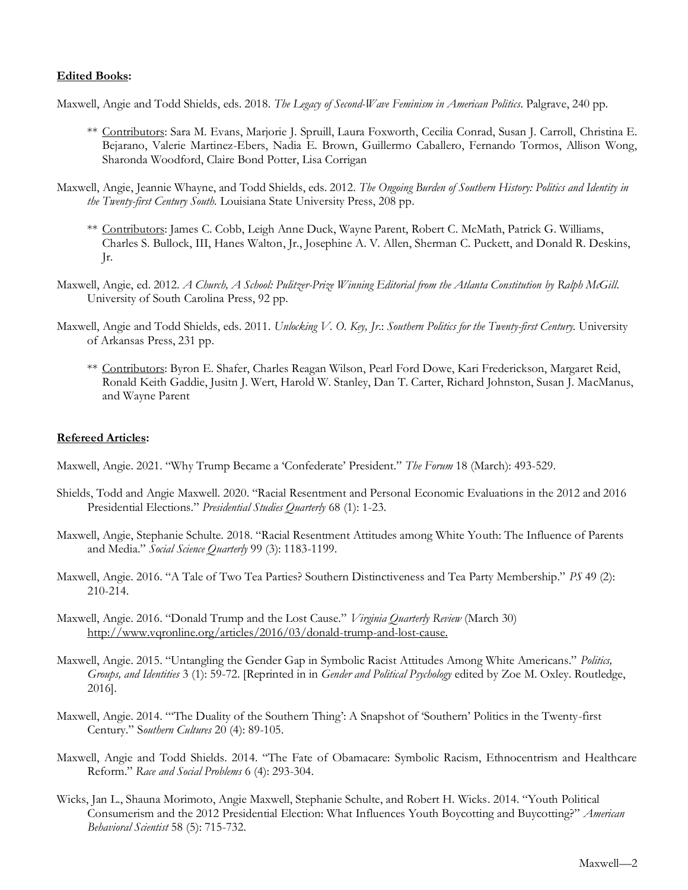### **Edited Books:**

Maxwell, Angie and Todd Shields, eds. 2018. *The Legacy of Second-Wave Feminism in American Politics*. Palgrave, 240 pp.

- \*\* Contributors: Sara M. Evans, Marjorie J. Spruill, Laura Foxworth, Cecilia Conrad, Susan J. Carroll, Christina E. Bejarano, Valerie Martinez-Ebers, Nadia E. Brown, Guillermo Caballero, Fernando Tormos, Allison Wong, Sharonda Woodford, Claire Bond Potter, Lisa Corrigan
- Maxwell, Angie, Jeannie Whayne, and Todd Shields, eds. 2012. *The Ongoing Burden of Southern History: Politics and Identity in the Twenty-first Century South.* Louisiana State University Press, 208 pp.
	- \*\* Contributors: James C. Cobb, Leigh Anne Duck, Wayne Parent, Robert C. McMath, Patrick G. Williams, Charles S. Bullock, III, Hanes Walton, Jr., Josephine A. V. Allen, Sherman C. Puckett, and Donald R. Deskins, Jr.
- Maxwell, Angie, ed. 2012. *A Church, A School: Pulitzer-Prize Winning Editorial from the Atlanta Constitution by Ralph McGill*. University of South Carolina Press, 92 pp.
- Maxwell, Angie and Todd Shields, eds. 2011. *Unlocking V. O. Key, Jr*.: *Southern Politics for the Twenty-first Century.* University of Arkansas Press, 231 pp.
	- \*\* Contributors: Byron E. Shafer, Charles Reagan Wilson, Pearl Ford Dowe, Kari Frederickson, Margaret Reid, Ronald Keith Gaddie, Jusitn J. Wert, Harold W. Stanley, Dan T. Carter, Richard Johnston, Susan J. MacManus, and Wayne Parent

## **Refereed Articles:**

Maxwell, Angie. 2021. "Why Trump Became a 'Confederate' President." *The Forum* 18 (March): 493-529.

- Shields, Todd and Angie Maxwell. 2020. "Racial Resentment and Personal Economic Evaluations in the 2012 and 2016 Presidential Elections." *Presidential Studies Quarterly* 68 (1): 1-23.
- Maxwell, Angie, Stephanie Schulte. 2018. "Racial Resentment Attitudes among White Youth: The Influence of Parents and Media." *Social Science Quarterly* 99 (3): 1183-1199.
- Maxwell, Angie. 2016. "A Tale of Two Tea Parties? Southern Distinctiveness and Tea Party Membership." *PS* 49 (2): 210-214.
- Maxwell, Angie. 2016. "Donald Trump and the Lost Cause." *Virginia Quarterly Review* (March 30) [http://www.vqronline.org/articles/2016/03/donald-trump-and-lost-cause.](http://www.vqronline.org/articles/2016/03/donald-trump-and-lost-cause)
- Maxwell, Angie. 2015. "Untangling the Gender Gap in Symbolic Racist Attitudes Among White Americans." *Politics, Groups, and Identities* 3 (1): 59-72. [Reprinted in in *Gender and Political Psychology* edited by Zoe M. Oxley. Routledge, 2016].
- Maxwell, Angie. 2014. "'The Duality of the Southern Thing': A Snapshot of 'Southern' Politics in the Twenty-first Century." S*outhern Cultures* 20 (4): 89-105.
- Maxwell, Angie and Todd Shields. 2014. "The Fate of Obamacare: Symbolic Racism, Ethnocentrism and Healthcare Reform." *Race and Social Problems* 6 (4): 293-304.
- Wicks, Jan L., Shauna Morimoto, Angie Maxwell, Stephanie Schulte, and Robert H. Wicks. 2014. "Youth Political Consumerism and the 2012 Presidential Election: What Influences Youth Boycotting and Buycotting?" *American Behavioral Scientist* 58 (5): 715-732.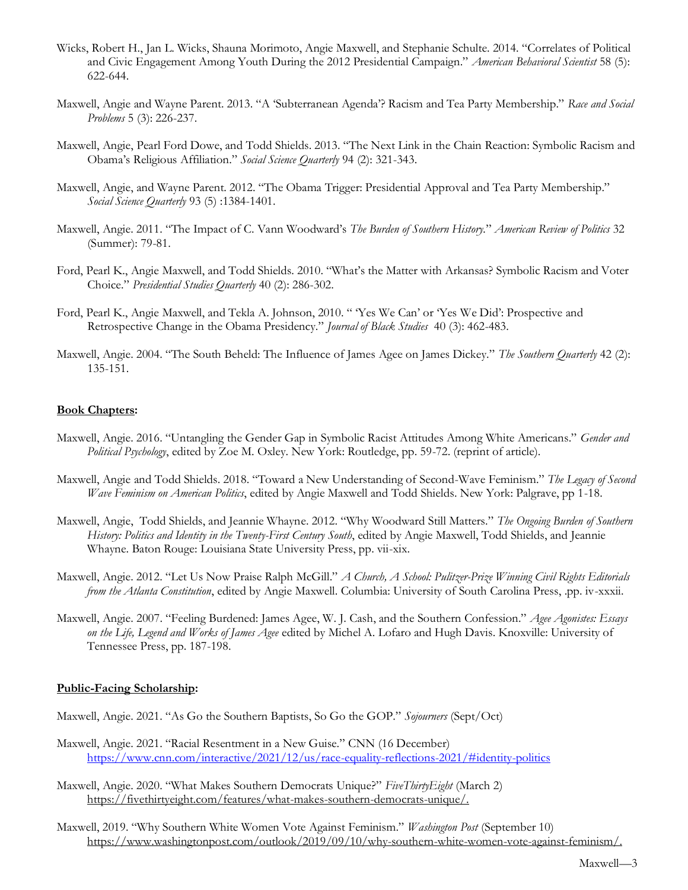- Wicks, Robert H., Jan L. Wicks, Shauna Morimoto, Angie Maxwell, and Stephanie Schulte. 2014. "Correlates of Political and Civic Engagement Among Youth During the 2012 Presidential Campaign." *American Behavioral Scientist* 58 (5): 622-644.
- Maxwell, Angie and Wayne Parent. 2013. "A 'Subterranean Agenda'? Racism and Tea Party Membership." *Race and Social Problems* 5 (3): 226-237.
- Maxwell, Angie, Pearl Ford Dowe, and Todd Shields. 2013. "The Next Link in the Chain Reaction: Symbolic Racism and Obama's Religious Affiliation." *Social Science Quarterly* 94 (2): 321-343.
- Maxwell, Angie, and Wayne Parent. 2012. "The Obama Trigger: Presidential Approval and Tea Party Membership." *Social Science Quarterly* 93 (5) :1384-1401.
- Maxwell, Angie. 2011. "The Impact of C. Vann Woodward's *The Burden of Southern History.*" *American Review of Politics* 32 (Summer): 79-81.
- Ford, Pearl K., Angie Maxwell, and Todd Shields. 2010. "What's the Matter with Arkansas? Symbolic Racism and Voter Choice." *Presidential Studies Quarterly* 40 (2): 286-302.
- Ford, Pearl K., Angie Maxwell, and Tekla A. Johnson, 2010. " 'Yes We Can' or 'Yes We Did': Prospective and Retrospective Change in the Obama Presidency." *Journal of Black Studies* 40 (3): 462-483.
- Maxwell, Angie. 2004. "The South Beheld: The Influence of James Agee on James Dickey." *The Southern Quarterly* 42 (2): 135-151.

### **Book Chapters:**

- Maxwell, Angie. 2016. "Untangling the Gender Gap in Symbolic Racist Attitudes Among White Americans." *Gender and Political Psychology*, edited by Zoe M. Oxley. New York: Routledge, pp. 59-72. (reprint of article).
- Maxwell, Angie and Todd Shields. 2018. "Toward a New Understanding of Second-Wave Feminism." *The Legacy of Second Wave Feminism on American Politics*, edited by Angie Maxwell and Todd Shields. New York: Palgrave, pp 1-18.
- Maxwell, Angie, Todd Shields, and Jeannie Whayne. 2012. "Why Woodward Still Matters." *The Ongoing Burden of Southern History: Politics and Identity in the Twenty-First Century South*, edited by Angie Maxwell, Todd Shields, and Jeannie Whayne. Baton Rouge: Louisiana State University Press, pp. vii-xix.
- Maxwell, Angie. 2012. "Let Us Now Praise Ralph McGill." *A Church, A School: Pulitzer-Prize Winning Civil Rights Editorials from the Atlanta Constitution*, edited by Angie Maxwell. Columbia: University of South Carolina Press, .pp. iv-xxxii.
- Maxwell, Angie. 2007. "Feeling Burdened: James Agee, W. J. Cash, and the Southern Confession." *Agee Agonistes: Essays on the Life, Legend and Works of James Agee* edited by Michel A. Lofaro and Hugh Davis. Knoxville: University of Tennessee Press, pp. 187-198.

### **Public-Facing Scholarship:**

- Maxwell, Angie. 2021. "As Go the Southern Baptists, So Go the GOP." *Sojourners* (Sept/Oct)
- Maxwell, Angie. 2021. "Racial Resentment in a New Guise." CNN (16 December) <https://www.cnn.com/interactive/2021/12/us/race-equality-reflections-2021/#identity-politics>
- Maxwell, Angie. 2020. "What Makes Southern Democrats Unique?" *FiveThirtyEight* (March 2) [https://fivethirtyeight.com/features/what-makes-southern-democrats-unique/.](https://fivethirtyeight.com/features/what-makes-southern-democrats-unique/)
- Maxwell, 2019. "Why Southern White Women Vote Against Feminism." *Washington Post* (September 10) [https://www.washingtonpost.com/outlook/2019/09/10/why-southern-white-women-vote-against-feminism/.](https://www.washingtonpost.com/outlook/2019/09/10/why-southern-white-women-vote-against-feminism/)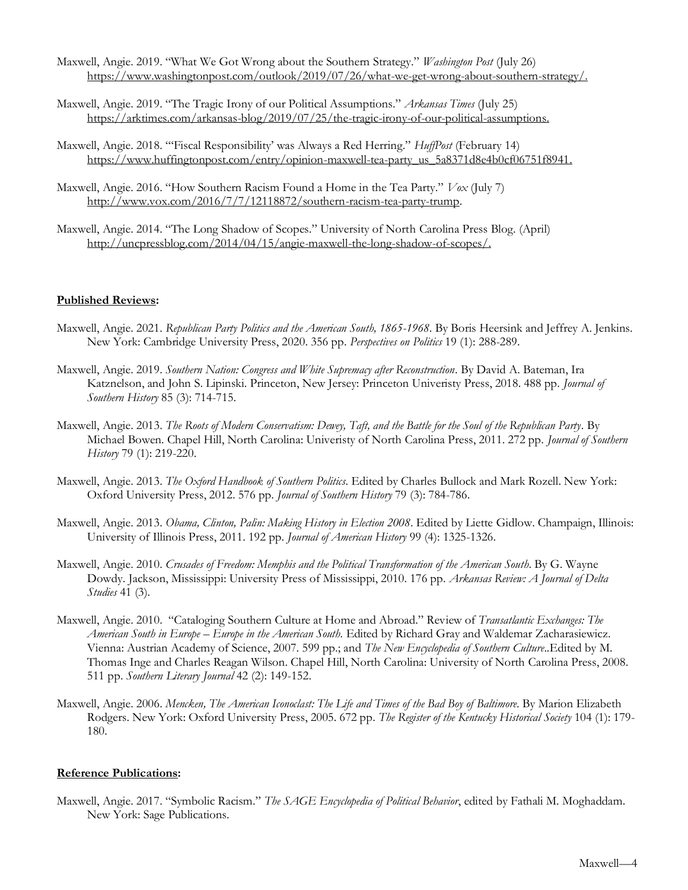- Maxwell, Angie. 2019. "What We Got Wrong about the Southern Strategy." *Washington Post* (July 26) [https://www.washingtonpost.com/outlook/2019/07/26/what-we-get-wrong-about-southern-strategy/.](https://www.washingtonpost.com/outlook/2019/07/26/what-we-get-wrong-about-southern-strategy/)
- Maxwell, Angie. 2019. "The Tragic Irony of our Political Assumptions." *Arkansas Times* (July 25) [https://arktimes.com/arkansas-blog/2019/07/25/the-tragic-irony-of-our-political-assumptions.](https://arktimes.com/arkansas-blog/2019/07/25/the-tragic-irony-of-our-political-assumptions)
- Maxwell, Angie. 2018. "'Fiscal Responsibility' was Always a Red Herring." *HuffPost* (February 14) [https://www.huffingtonpost.com/entry/opinion-maxwell-tea-party\\_us\\_5a8371d8e4b0cf06751f8941.](https://www.huffingtonpost.com/entry/opinion-maxwell-tea-party_us_5a8371d8e4b0cf06751f8941)
- Maxwell, Angie. 2016. "How Southern Racism Found a Home in the Tea Party." *Vox* (July 7) [http://www.vox.com/2016/7/7/12118872/southern-racism-tea-party-trump.](http://www.vox.com/2016/7/7/12118872/southern-racism-tea-party-trump)
- Maxwell, Angie. 2014. "The Long Shadow of Scopes." University of North Carolina Press Blog. (April) [http://uncpressblog.com/2014/04/15/angie-maxwell-the-long-shadow-of-scopes/.](http://uncpressblog.com/2014/04/15/angie-maxwell-the-long-shadow-of-scopes/)

## **Published Reviews:**

- Maxwell, Angie. 2021. *Republican Party Politics and the American South, 1865-1968*. By Boris Heersink and Jeffrey A. Jenkins. New York: Cambridge University Press, 2020. 356 pp. *Perspectives on Politics* 19 (1): 288-289.
- Maxwell, Angie. 2019. *Southern Nation: Congress and White Supremacy after Reconstruction*. By David A. Bateman, Ira Katznelson, and John S. Lipinski. Princeton, New Jersey: Princeton Univeristy Press, 2018. 488 pp. *Journal of Southern History* 85 (3): 714-715.
- Maxwell, Angie. 2013. *The Roots of Modern Conservatism: Dewey, Taft, and the Battle for the Soul of the Republican Party*. By Michael Bowen. Chapel Hill, North Carolina: Univeristy of North Carolina Press, 2011. 272 pp. *Journal of Southern History* 79 (1): 219-220.
- Maxwell, Angie. 2013. *The Oxford Handbook of Southern Politics*. Edited by Charles Bullock and Mark Rozell. New York: Oxford University Press, 2012. 576 pp. *Journal of Southern History* 79 (3): 784-786.
- Maxwell, Angie. 2013. *Obama, Clinton, Palin: Making History in Election 2008*. Edited by Liette Gidlow. Champaign, Illinois: University of Illinois Press, 2011. 192 pp. *Journal of American History* 99 (4): 1325-1326.
- Maxwell, Angie. 2010. *Crusades of Freedom: Memphis and the Political Transformation of the American South*. By G. Wayne Dowdy. Jackson, Mississippi: University Press of Mississippi, 2010. 176 pp. *Arkansas Review: A Journal of Delta Studies* 41 (3).
- Maxwell, Angie. 2010. "Cataloging Southern Culture at Home and Abroad." Review of *Transatlantic Exchanges: The American South in Europe – Europe in the American South.* Edited by Richard Gray and Waldemar Zacharasiewicz. Vienna: Austrian Academy of Science, 2007. 599 pp.; and *The New Encyclopedia of Southern Culture*.*.*Edited by M. Thomas Inge and Charles Reagan Wilson. Chapel Hill, North Carolina: University of North Carolina Press, 2008. 511 pp. *Southern Literary Journal* 42 (2): 149-152.
- Maxwell, Angie. 2006. Mencken, The American Iconoclast: The Life and Times of the Bad Boy of Baltimore. By Marion Elizabeth Rodgers. New York: Oxford University Press, 2005. 672 pp. *The Register of the Kentucky Historical Society* 104 (1): 179- 180.

### **Reference Publications:**

Maxwell, Angie. 2017. "Symbolic Racism." *The SAGE Encyclopedia of Political Behavior*, edited by Fathali M. Moghaddam. New York: Sage Publications.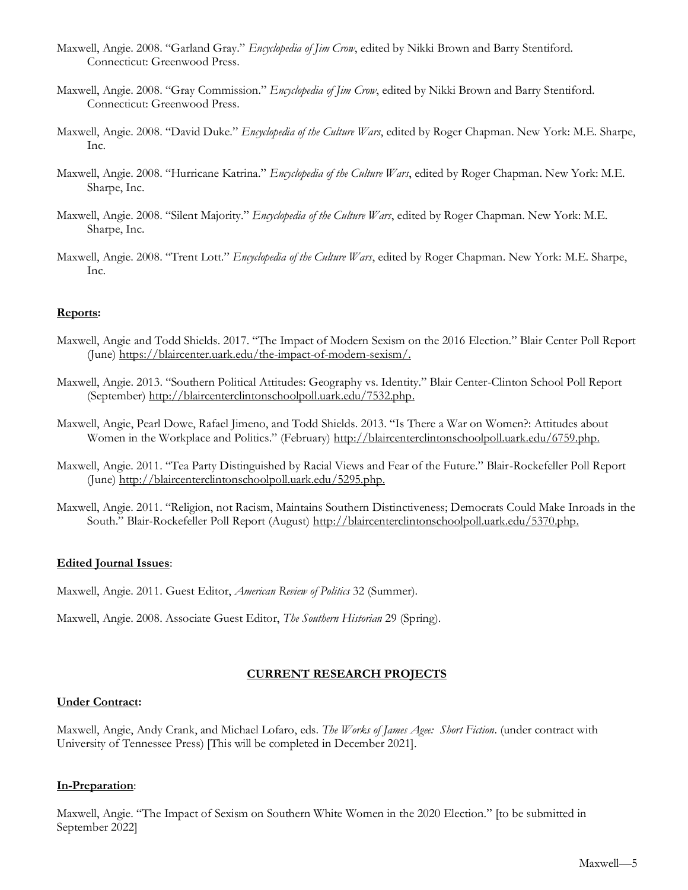- Maxwell, Angie. 2008. "Garland Gray." *Encyclopedia of Jim Crow*, edited by Nikki Brown and Barry Stentiford. Connecticut: Greenwood Press.
- Maxwell, Angie. 2008. "Gray Commission." *Encyclopedia of Jim Crow*, edited by Nikki Brown and Barry Stentiford. Connecticut: Greenwood Press.
- Maxwell, Angie. 2008. "David Duke." *Encyclopedia of the Culture Wars*, edited by Roger Chapman. New York: M.E. Sharpe, Inc.
- Maxwell, Angie. 2008. "Hurricane Katrina." *Encyclopedia of the Culture Wars*, edited by Roger Chapman. New York: M.E. Sharpe, Inc.
- Maxwell, Angie. 2008. "Silent Majority." *Encyclopedia of the Culture Wars*, edited by Roger Chapman. New York: M.E. Sharpe, Inc.
- Maxwell, Angie. 2008. "Trent Lott." *Encyclopedia of the Culture Wars*, edited by Roger Chapman. New York: M.E. Sharpe, Inc.

## **Reports:**

- Maxwell, Angie and Todd Shields. 2017. "The Impact of Modern Sexism on the 2016 Election." Blair Center Poll Report (June) [https://blaircenter.uark.edu/the-impact-of-modern-sexism/.](https://blaircenter.uark.edu/the-impact-of-modern-sexism/)
- Maxwell, Angie. 2013. "Southern Political Attitudes: Geography vs. Identity." Blair Center-Clinton School Poll Report (September) [http://blaircenterclintonschoolpoll.uark.edu/7532.php.](http://blaircenterclintonschoolpoll.uark.edu/7532.php)
- Maxwell, Angie, Pearl Dowe, Rafael Jimeno, and Todd Shields. 2013. "Is There a War on Women?: Attitudes about Women in the Workplace and Politics." (February) [http://blaircenterclintonschoolpoll.uark.edu/6759.php.](http://blaircenterclintonschoolpoll.uark.edu/6759.php)
- Maxwell, Angie. 2011. "Tea Party Distinguished by Racial Views and Fear of the Future." Blair-Rockefeller Poll Report (June) [http://blaircenterclintonschoolpoll.uark.edu/5295.php.](http://blaircenterclintonschoolpoll.uark.edu/5295.php)
- Maxwell, Angie. 2011. "Religion, not Racism, Maintains Southern Distinctiveness; Democrats Could Make Inroads in the South." Blair-Rockefeller Poll Report (August) [http://blaircenterclintonschoolpoll.uark.edu/5370.php.](http://blaircenterclintonschoolpoll.uark.edu/5370.php)

### **Edited Journal Issues**:

Maxwell, Angie. 2011. Guest Editor, *American Review of Politics* 32 (Summer).

Maxwell, Angie. 2008. Associate Guest Editor, *The Southern Historian* 29 (Spring).

### **CURRENT RESEARCH PROJECTS**

### **Under Contract:**

Maxwell, Angie, Andy Crank, and Michael Lofaro, eds. *The Works of James Agee: Short Fiction*. (under contract with University of Tennessee Press) [This will be completed in December 2021].

### **In-Preparation**:

Maxwell, Angie. "The Impact of Sexism on Southern White Women in the 2020 Election." [to be submitted in September 2022]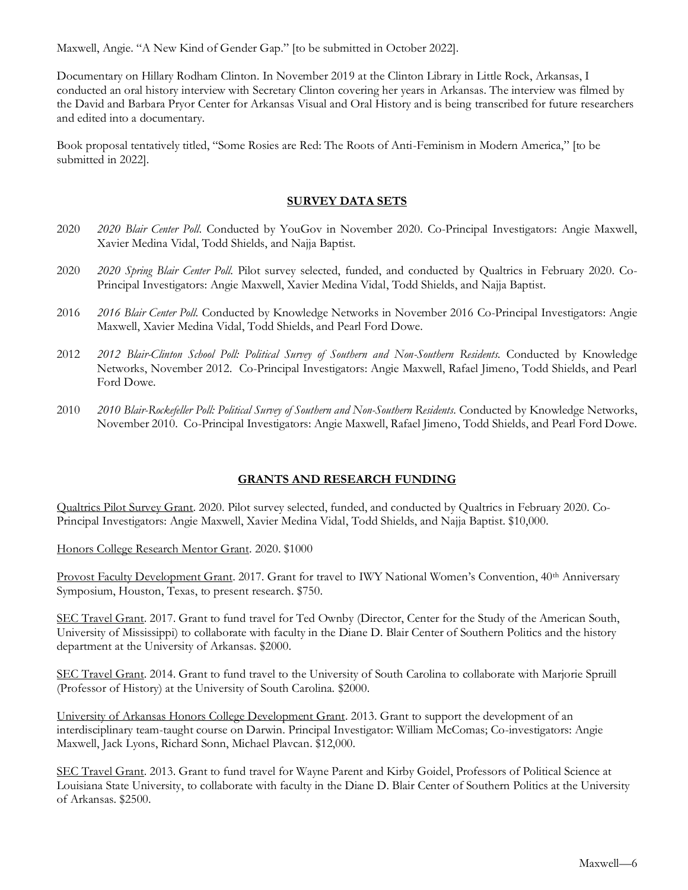Maxwell, Angie. "A New Kind of Gender Gap." [to be submitted in October 2022].

Documentary on Hillary Rodham Clinton. In November 2019 at the Clinton Library in Little Rock, Arkansas, I conducted an oral history interview with Secretary Clinton covering her years in Arkansas. The interview was filmed by the David and Barbara Pryor Center for Arkansas Visual and Oral History and is being transcribed for future researchers and edited into a documentary.

Book proposal tentatively titled, "Some Rosies are Red: The Roots of Anti-Feminism in Modern America," [to be submitted in 2022].

## **SURVEY DATA SETS**

- 2020 *2020 Blair Center Poll*. Conducted by YouGov in November 2020. Co-Principal Investigators: Angie Maxwell, Xavier Medina Vidal, Todd Shields, and Najja Baptist.
- 2020 *2020 Spring Blair Center Poll*. Pilot survey selected, funded, and conducted by Qualtrics in February 2020. Co-Principal Investigators: Angie Maxwell, Xavier Medina Vidal, Todd Shields, and Najja Baptist.
- 2016 *2016 Blair Center Poll*. Conducted by Knowledge Networks in November 2016 Co-Principal Investigators: Angie Maxwell, Xavier Medina Vidal, Todd Shields, and Pearl Ford Dowe.
- 2012 *2012 Blair-Clinton School Poll: Political Survey of Southern and Non-Southern Residents.* Conducted by Knowledge Networks, November 2012. Co-Principal Investigators: Angie Maxwell, Rafael Jimeno, Todd Shields, and Pearl Ford Dowe.
- 2010 *2010 Blair-Rockefeller Poll: Political Survey of Southern and Non-Southern Residents*. Conducted by Knowledge Networks, November 2010. Co-Principal Investigators: Angie Maxwell, Rafael Jimeno, Todd Shields, and Pearl Ford Dowe.

## **GRANTS AND RESEARCH FUNDING**

Qualtrics Pilot Survey Grant. 2020. Pilot survey selected, funded, and conducted by Qualtrics in February 2020. Co-Principal Investigators: Angie Maxwell, Xavier Medina Vidal, Todd Shields, and Najja Baptist. \$10,000.

Honors College Research Mentor Grant. 2020. \$1000

Provost Faculty Development Grant. 2017. Grant for travel to IWY National Women's Convention, 40<sup>th</sup> Anniversary Symposium, Houston, Texas, to present research. \$750.

SEC Travel Grant. 2017. Grant to fund travel for Ted Ownby (Director, Center for the Study of the American South, University of Mississippi) to collaborate with faculty in the Diane D. Blair Center of Southern Politics and the history department at the University of Arkansas. \$2000.

SEC Travel Grant. 2014. Grant to fund travel to the University of South Carolina to collaborate with Marjorie Spruill (Professor of History) at the University of South Carolina. \$2000.

University of Arkansas Honors College Development Grant. 2013. Grant to support the development of an interdisciplinary team-taught course on Darwin. Principal Investigator: William McComas; Co-investigators: Angie Maxwell, Jack Lyons, Richard Sonn, Michael Plavcan. \$12,000.

SEC Travel Grant. 2013. Grant to fund travel for Wayne Parent and Kirby Goidel, Professors of Political Science at Louisiana State University, to collaborate with faculty in the Diane D. Blair Center of Southern Politics at the University of Arkansas. \$2500.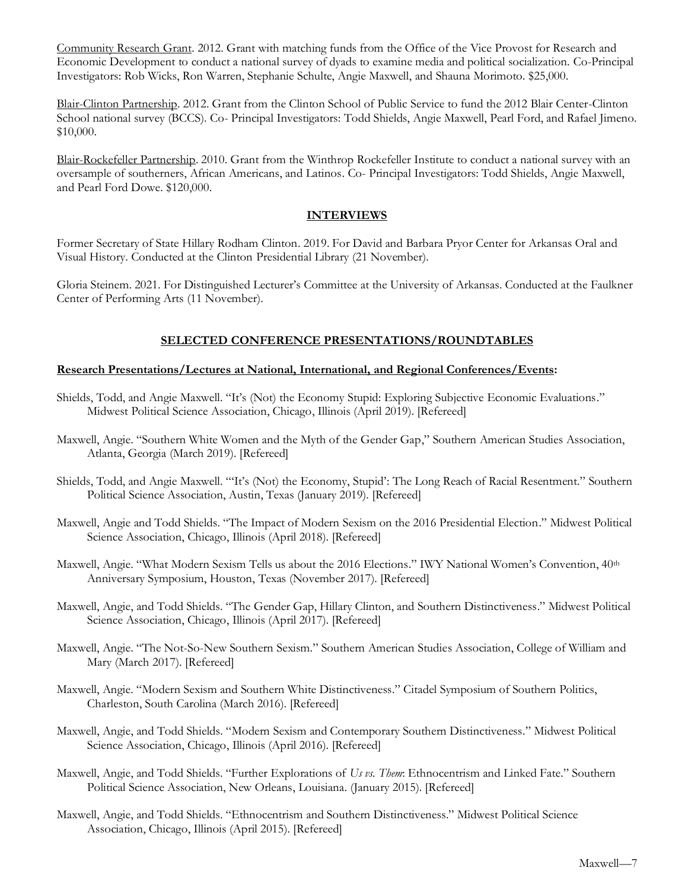Community Research Grant. 2012. Grant with matching funds from the Office of the Vice Provost for Research and Economic Development to conduct a national survey of dyads to examine media and political socialization. Co-Principal Investigators: Rob Wicks, Ron Warren, Stephanie Schulte, Angie Maxwell, and Shauna Morimoto. \$25,000.

Blair-Clinton Partnership. 2012. Grant from the Clinton School of Public Service to fund the 2012 Blair Center-Clinton School national survey (BCCS). Co- Principal Investigators: Todd Shields, Angie Maxwell, Pearl Ford, and Rafael Jimeno. \$10,000.

Blair-Rockefeller Partnership. 2010. Grant from the Winthrop Rockefeller Institute to conduct a national survey with an oversample of southerners, African Americans, and Latinos. Co- Principal Investigators: Todd Shields, Angie Maxwell, and Pearl Ford Dowe. \$120,000.

## **INTERVIEWS**

Former Secretary of State Hillary Rodham Clinton. 2019. For David and Barbara Pryor Center for Arkansas Oral and Visual History. Conducted at the Clinton Presidential Library (21 November).

Gloria Steinem. 2021. For Distinguished Lecturer's Committee at the University of Arkansas. Conducted at the Faulkner Center of Performing Arts (11 November).

# **SELECTED CONFERENCE PRESENTATIONS/ROUNDTABLES**

## **Research Presentations/Lectures at National, International, and Regional Conferences/Events:**

- Shields, Todd, and Angie Maxwell. "It's (Not) the Economy Stupid: Exploring Subjective Economic Evaluations." Midwest Political Science Association, Chicago, Illinois (April 2019). [Refereed]
- Maxwell, Angie. "Southern White Women and the Myth of the Gender Gap," Southern American Studies Association, Atlanta, Georgia (March 2019). [Refereed]
- Shields, Todd, and Angie Maxwell. "'It's (Not) the Economy, Stupid': The Long Reach of Racial Resentment." Southern Political Science Association, Austin, Texas (January 2019). [Refereed]
- Maxwell, Angie and Todd Shields. "The Impact of Modern Sexism on the 2016 Presidential Election." Midwest Political Science Association, Chicago, Illinois (April 2018). [Refereed]
- Maxwell, Angie. "What Modern Sexism Tells us about the 2016 Elections." IWY National Women's Convention, 40<sup>th</sup> Anniversary Symposium, Houston, Texas (November 2017). [Refereed]
- Maxwell, Angie, and Todd Shields. "The Gender Gap, Hillary Clinton, and Southern Distinctiveness." Midwest Political Science Association, Chicago, Illinois (April 2017). [Refereed]
- Maxwell, Angie. "The Not-So-New Southern Sexism." Southern American Studies Association, College of William and Mary (March 2017). [Refereed]
- Maxwell, Angie. "Modern Sexism and Southern White Distinctiveness." Citadel Symposium of Southern Politics, Charleston, South Carolina (March 2016). [Refereed]
- Maxwell, Angie, and Todd Shields. "Modern Sexism and Contemporary Southern Distinctiveness." Midwest Political Science Association, Chicago, Illinois (April 2016). [Refereed]
- Maxwell, Angie, and Todd Shields. "Further Explorations of *Us vs. Them*: Ethnocentrism and Linked Fate." Southern Political Science Association, New Orleans, Louisiana. (January 2015). [Refereed]
- Maxwell, Angie, and Todd Shields. "Ethnocentrism and Southern Distinctiveness." Midwest Political Science Association, Chicago, Illinois (April 2015). [Refereed]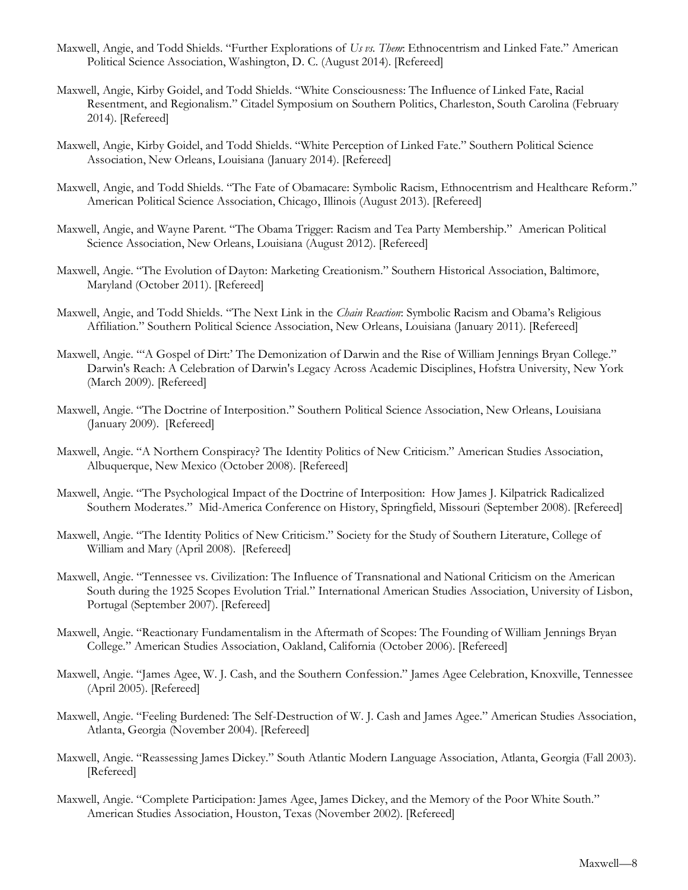- Maxwell, Angie, and Todd Shields. "Further Explorations of *Us vs. Them*: Ethnocentrism and Linked Fate." American Political Science Association, Washington, D. C. (August 2014). [Refereed]
- Maxwell, Angie, Kirby Goidel, and Todd Shields. "White Consciousness: The Influence of Linked Fate, Racial Resentment, and Regionalism." Citadel Symposium on Southern Politics, Charleston, South Carolina (February 2014). [Refereed]
- Maxwell, Angie, Kirby Goidel, and Todd Shields. "White Perception of Linked Fate." Southern Political Science Association, New Orleans, Louisiana (January 2014). [Refereed]
- Maxwell, Angie, and Todd Shields. "The Fate of Obamacare: Symbolic Racism, Ethnocentrism and Healthcare Reform." American Political Science Association, Chicago, Illinois (August 2013). [Refereed]
- Maxwell, Angie, and Wayne Parent. "The Obama Trigger: Racism and Tea Party Membership." American Political Science Association, New Orleans, Louisiana (August 2012). [Refereed]
- Maxwell, Angie. "The Evolution of Dayton: Marketing Creationism." Southern Historical Association, Baltimore, Maryland (October 2011). [Refereed]
- Maxwell, Angie, and Todd Shields. "The Next Link in the *Chain Reaction*: Symbolic Racism and Obama's Religious Affiliation." Southern Political Science Association, New Orleans, Louisiana (January 2011). [Refereed]
- Maxwell, Angie. "'A Gospel of Dirt:' The Demonization of Darwin and the Rise of William Jennings Bryan College." Darwin's Reach: A Celebration of Darwin's Legacy Across Academic Disciplines, Hofstra University, New York (March 2009). [Refereed]
- Maxwell, Angie. "The Doctrine of Interposition." Southern Political Science Association, New Orleans, Louisiana (January 2009). [Refereed]
- Maxwell, Angie. "A Northern Conspiracy? The Identity Politics of New Criticism." American Studies Association, Albuquerque, New Mexico (October 2008). [Refereed]
- Maxwell, Angie. "The Psychological Impact of the Doctrine of Interposition: How James J. Kilpatrick Radicalized Southern Moderates." Mid-America Conference on History, Springfield, Missouri (September 2008). [Refereed]
- Maxwell, Angie. "The Identity Politics of New Criticism." Society for the Study of Southern Literature, College of William and Mary (April 2008). [Refereed]
- Maxwell, Angie. "Tennessee vs. Civilization: The Influence of Transnational and National Criticism on the American South during the 1925 Scopes Evolution Trial." International American Studies Association, University of Lisbon, Portugal (September 2007). [Refereed]
- Maxwell, Angie. "Reactionary Fundamentalism in the Aftermath of Scopes: The Founding of William Jennings Bryan College." American Studies Association, Oakland, California (October 2006). [Refereed]
- Maxwell, Angie. "James Agee, W. J. Cash, and the Southern Confession." James Agee Celebration, Knoxville, Tennessee (April 2005). [Refereed]
- Maxwell, Angie. "Feeling Burdened: The Self-Destruction of W. J. Cash and James Agee." American Studies Association, Atlanta, Georgia (November 2004). [Refereed]
- Maxwell, Angie. "Reassessing James Dickey." South Atlantic Modern Language Association, Atlanta, Georgia (Fall 2003). [Refereed]
- Maxwell, Angie. "Complete Participation: James Agee, James Dickey, and the Memory of the Poor White South." American Studies Association, Houston, Texas (November 2002). [Refereed]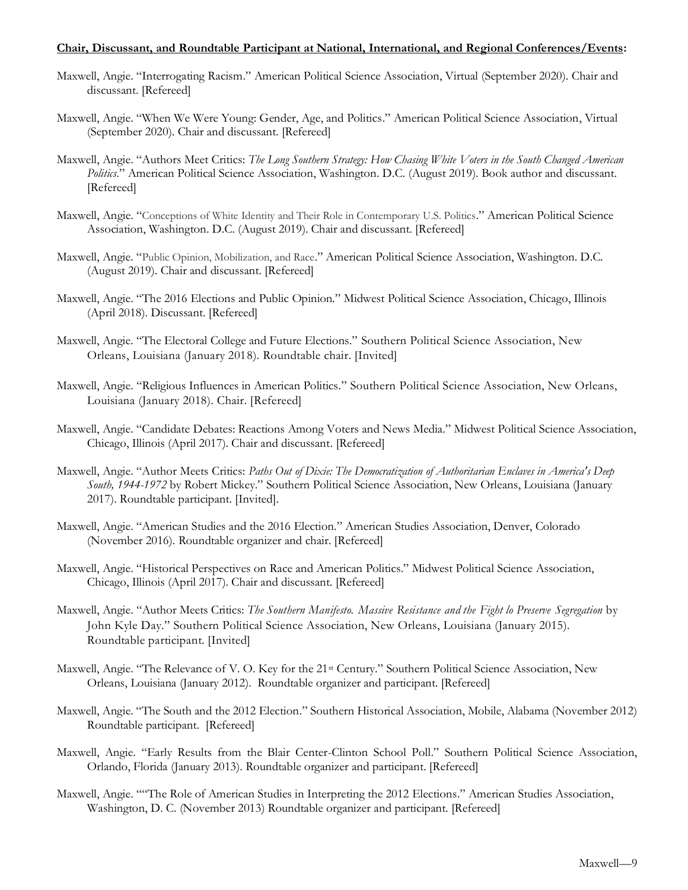### **Chair, Discussant, and Roundtable Participant at National, International, and Regional Conferences/Events:**

- Maxwell, Angie. "Interrogating Racism." American Political Science Association, Virtual (September 2020). Chair and discussant. [Refereed]
- Maxwell, Angie. "When We Were Young: Gender, Age, and Politics." American Political Science Association, Virtual (September 2020). Chair and discussant. [Refereed]
- Maxwell, Angie. "Authors Meet Critics: *The Long Southern Strategy: How Chasing White Voters in the South Changed American Politics*." American Political Science Association, Washington. D.C. (August 2019). Book author and discussant. [Refereed]
- Maxwell, Angie. "Conceptions of White Identity and Their Role in Contemporary U.S. Politics." American Political Science Association, Washington. D.C. (August 2019). Chair and discussant. [Refereed]
- Maxwell, Angie. "Public Opinion, Mobilization, and Race." American Political Science Association, Washington. D.C. (August 2019). Chair and discussant. [Refereed]
- Maxwell, Angie. "The 2016 Elections and Public Opinion." Midwest Political Science Association, Chicago, Illinois (April 2018). Discussant. [Refereed]
- Maxwell, Angie. "The Electoral College and Future Elections." Southern Political Science Association, New Orleans, Louisiana (January 2018). Roundtable chair. [Invited]
- Maxwell, Angie. "Religious Influences in American Politics." Southern Political Science Association, New Orleans, Louisiana (January 2018). Chair. [Refereed]
- Maxwell, Angie. "Candidate Debates: Reactions Among Voters and News Media." Midwest Political Science Association, Chicago, Illinois (April 2017). Chair and discussant. [Refereed]
- Maxwell, Angie. "Author Meets Critics: *Paths Out of Dixie: The Democratization of Authoritarian Enclaves in America's Deep South, 1944-1972* by Robert Mickey." Southern Political Science Association, New Orleans, Louisiana (January 2017). Roundtable participant. [Invited].
- Maxwell, Angie. "American Studies and the 2016 Election." American Studies Association, Denver, Colorado (November 2016). Roundtable organizer and chair. [Refereed]
- Maxwell, Angie. "Historical Perspectives on Race and American Politics." Midwest Political Science Association, Chicago, Illinois (April 2017). Chair and discussant. [Refereed]
- Maxwell, Angie. "Author Meets Critics: *The Southern Manifesto. Massive Resistance and the Fight lo Preserve Segregation* by John Kyle Day." Southern Political Science Association, New Orleans, Louisiana (January 2015). Roundtable participant. [Invited]
- Maxwell, Angie. "The Relevance of V. O. Key for the 21st Century." Southern Political Science Association, New Orleans, Louisiana (January 2012). Roundtable organizer and participant. [Refereed]
- Maxwell, Angie. "The South and the 2012 Election." Southern Historical Association, Mobile, Alabama (November 2012) Roundtable participant. [Refereed]
- Maxwell, Angie. "Early Results from the Blair Center-Clinton School Poll." Southern Political Science Association, Orlando, Florida (January 2013). Roundtable organizer and participant. [Refereed]
- Maxwell, Angie. ""The Role of American Studies in Interpreting the 2012 Elections." American Studies Association, Washington, D. C. (November 2013) Roundtable organizer and participant. [Refereed]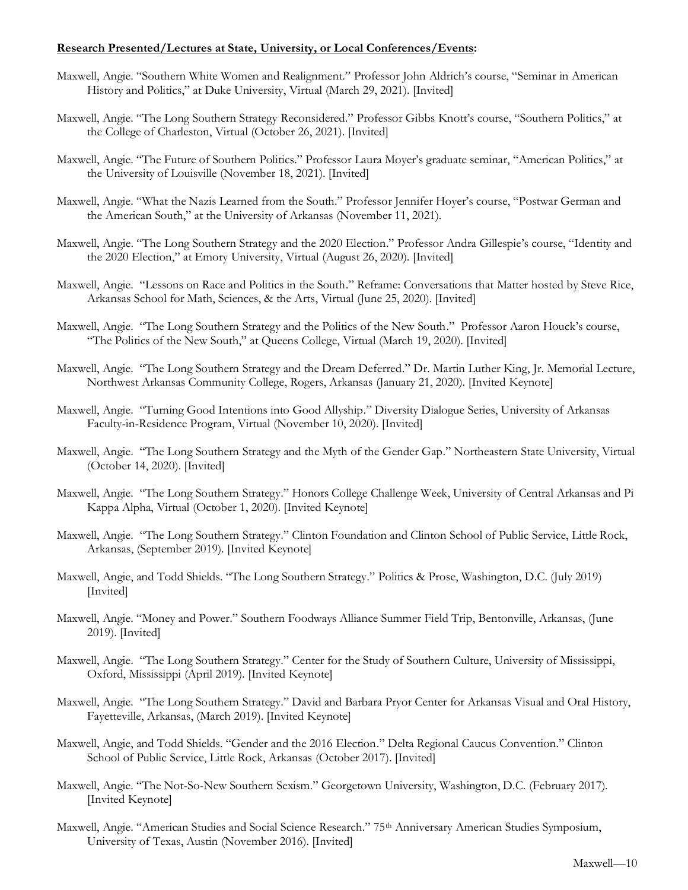## **Research Presented/Lectures at State, University, or Local Conferences/Events:**

- Maxwell, Angie. "Southern White Women and Realignment." Professor John Aldrich's course, "Seminar in American History and Politics," at Duke University, Virtual (March 29, 2021). [Invited]
- Maxwell, Angie. "The Long Southern Strategy Reconsidered." Professor Gibbs Knott's course, "Southern Politics," at the College of Charleston, Virtual (October 26, 2021). [Invited]
- Maxwell, Angie. "The Future of Southern Politics." Professor Laura Moyer's graduate seminar, "American Politics," at the University of Louisville (November 18, 2021). [Invited]
- Maxwell, Angie. "What the Nazis Learned from the South." Professor Jennifer Hoyer's course, "Postwar German and the American South," at the University of Arkansas (November 11, 2021).
- Maxwell, Angie. "The Long Southern Strategy and the 2020 Election." Professor Andra Gillespie's course, "Identity and the 2020 Election," at Emory University, Virtual (August 26, 2020). [Invited]
- Maxwell, Angie. "Lessons on Race and Politics in the South." Reframe: Conversations that Matter hosted by Steve Rice, Arkansas School for Math, Sciences, & the Arts, Virtual (June 25, 2020). [Invited]
- Maxwell, Angie. "The Long Southern Strategy and the Politics of the New South." Professor Aaron Houck's course, "The Politics of the New South," at Queens College, Virtual (March 19, 2020). [Invited]
- Maxwell, Angie. "The Long Southern Strategy and the Dream Deferred." Dr. Martin Luther King, Jr. Memorial Lecture, Northwest Arkansas Community College, Rogers, Arkansas (January 21, 2020). [Invited Keynote]
- Maxwell, Angie. "Turning Good Intentions into Good Allyship." Diversity Dialogue Series, University of Arkansas Faculty-in-Residence Program, Virtual (November 10, 2020). [Invited]
- Maxwell, Angie. "The Long Southern Strategy and the Myth of the Gender Gap." Northeastern State University, Virtual (October 14, 2020). [Invited]
- Maxwell, Angie. "The Long Southern Strategy." Honors College Challenge Week, University of Central Arkansas and Pi Kappa Alpha, Virtual (October 1, 2020). [Invited Keynote]
- Maxwell, Angie. "The Long Southern Strategy." Clinton Foundation and Clinton School of Public Service, Little Rock, Arkansas, (September 2019). [Invited Keynote]
- Maxwell, Angie, and Todd Shields. "The Long Southern Strategy." Politics & Prose, Washington, D.C. (July 2019) [Invited]
- Maxwell, Angie. "Money and Power." Southern Foodways Alliance Summer Field Trip, Bentonville, Arkansas, (June 2019). [Invited]
- Maxwell, Angie. "The Long Southern Strategy." Center for the Study of Southern Culture, University of Mississippi, Oxford, Mississippi (April 2019). [Invited Keynote]
- Maxwell, Angie. "The Long Southern Strategy." David and Barbara Pryor Center for Arkansas Visual and Oral History, Fayetteville, Arkansas, (March 2019). [Invited Keynote]
- Maxwell, Angie, and Todd Shields. "Gender and the 2016 Election." Delta Regional Caucus Convention." Clinton School of Public Service, Little Rock, Arkansas (October 2017). [Invited]
- Maxwell, Angie. "The Not-So-New Southern Sexism." Georgetown University, Washington, D.C. (February 2017). [Invited Keynote]
- Maxwell, Angie. "American Studies and Social Science Research." 75<sup>th</sup> Anniversary American Studies Symposium, University of Texas, Austin (November 2016). [Invited]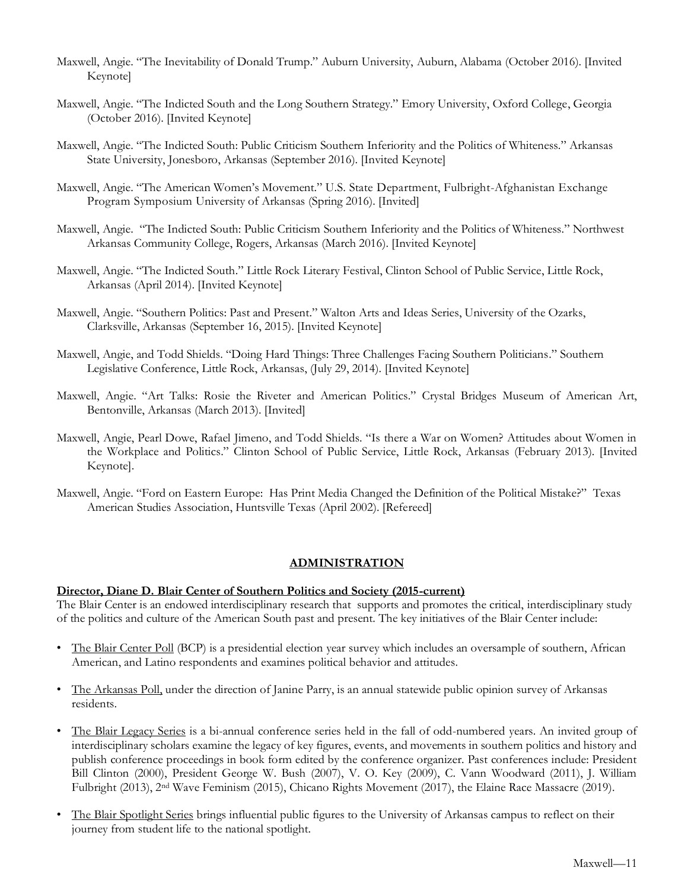- Maxwell, Angie. "The Inevitability of Donald Trump." Auburn University, Auburn, Alabama (October 2016). [Invited Keynote]
- Maxwell, Angie. "The Indicted South and the Long Southern Strategy." Emory University, Oxford College, Georgia (October 2016). [Invited Keynote]
- Maxwell, Angie. "The Indicted South: Public Criticism Southern Inferiority and the Politics of Whiteness." Arkansas State University, Jonesboro, Arkansas (September 2016). [Invited Keynote]
- Maxwell, Angie. "The American Women's Movement." U.S. State Department, Fulbright-Afghanistan Exchange Program Symposium University of Arkansas (Spring 2016). [Invited]
- Maxwell, Angie. "The Indicted South: Public Criticism Southern Inferiority and the Politics of Whiteness." Northwest Arkansas Community College, Rogers, Arkansas (March 2016). [Invited Keynote]
- Maxwell, Angie. "The Indicted South." Little Rock Literary Festival, Clinton School of Public Service, Little Rock, Arkansas (April 2014). [Invited Keynote]
- Maxwell, Angie. "Southern Politics: Past and Present." Walton Arts and Ideas Series, University of the Ozarks, Clarksville, Arkansas (September 16, 2015). [Invited Keynote]
- Maxwell, Angie, and Todd Shields. "Doing Hard Things: Three Challenges Facing Southern Politicians." Southern Legislative Conference, Little Rock, Arkansas, (July 29, 2014). [Invited Keynote]
- Maxwell, Angie. "Art Talks: Rosie the Riveter and American Politics." Crystal Bridges Museum of American Art, Bentonville, Arkansas (March 2013). [Invited]
- Maxwell, Angie, Pearl Dowe, Rafael Jimeno, and Todd Shields. "Is there a War on Women? Attitudes about Women in the Workplace and Politics." Clinton School of Public Service, Little Rock, Arkansas (February 2013). [Invited Keynote].
- Maxwell, Angie. "Ford on Eastern Europe: Has Print Media Changed the Definition of the Political Mistake?" Texas American Studies Association, Huntsville Texas (April 2002). [Refereed]

### **ADMINISTRATION**

### **Director, Diane D. Blair Center of Southern Politics and Society (2015-current)**

The Blair Center is an endowed interdisciplinary research that supports and promotes the critical, interdisciplinary study of the politics and culture of the American South past and present. The key initiatives of the Blair Center include:

- The Blair Center Poll (BCP) is a presidential election year survey which includes an oversample of southern, African American, and Latino respondents and examines political behavior and attitudes.
- The Arkansas Poll, under the direction of Janine Parry, is an annual statewide public opinion survey of Arkansas residents.
- The Blair Legacy Series is a bi-annual conference series held in the fall of odd-numbered years. An invited group of interdisciplinary scholars examine the legacy of key figures, events, and movements in southern politics and history and publish conference proceedings in book form edited by the conference organizer. Past conferences include: President Bill Clinton (2000), President George W. Bush (2007), V. O. Key (2009), C. Vann Woodward (2011), J. William Fulbright (2013), 2nd Wave Feminism (2015), Chicano Rights Movement (2017), the Elaine Race Massacre (2019).
- The Blair Spotlight Series brings influential public figures to the University of Arkansas campus to reflect on their journey from student life to the national spotlight.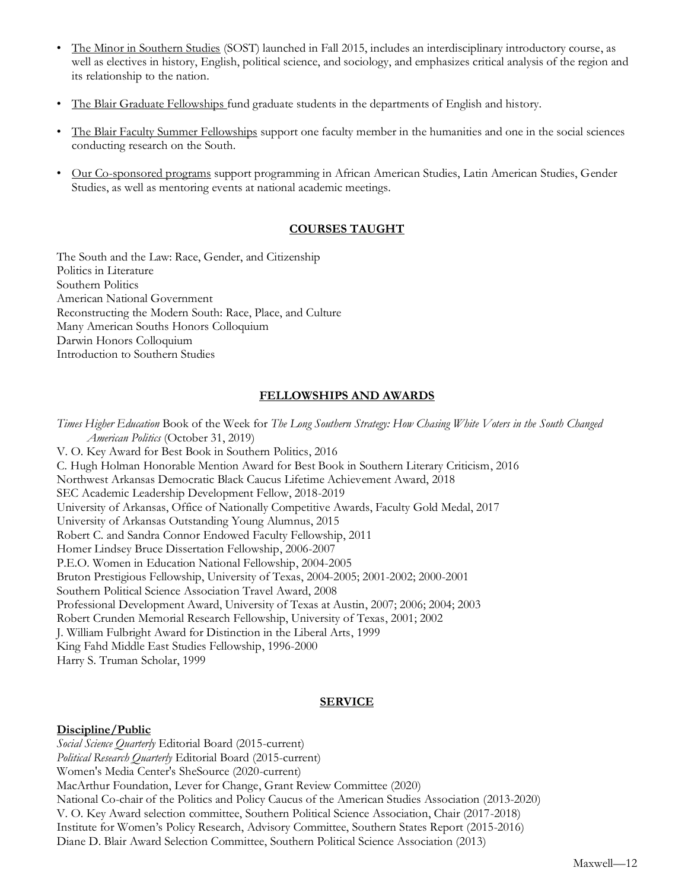- The Minor in Southern Studies (SOST) launched in Fall 2015, includes an interdisciplinary introductory course, as well as electives in history, English, political science, and sociology, and emphasizes critical analysis of the region and its relationship to the nation.
- The Blair Graduate Fellowships fund graduate students in the departments of English and history.
- The Blair Faculty Summer Fellowships support one faculty member in the humanities and one in the social sciences conducting research on the South.
- Our Co-sponsored programs support programming in African American Studies, Latin American Studies, Gender Studies, as well as mentoring events at national academic meetings.

# **COURSES TAUGHT**

The South and the Law: Race, Gender, and Citizenship Politics in Literature Southern Politics American National Government Reconstructing the Modern South: Race, Place, and Culture Many American Souths Honors Colloquium Darwin Honors Colloquium Introduction to Southern Studies

# **FELLOWSHIPS AND AWARDS**

*Times Higher Education* Book of the Week for *The Long Southern Strategy: How Chasing White Voters in the South Changed American Politics* (October 31, 2019) V. O. Key Award for Best Book in Southern Politics, 2016 C. Hugh Holman Honorable Mention Award for Best Book in Southern Literary Criticism, 2016 Northwest Arkansas Democratic Black Caucus Lifetime Achievement Award, 2018 SEC Academic Leadership Development Fellow, 2018-2019 University of Arkansas, Office of Nationally Competitive Awards, Faculty Gold Medal, 2017 University of Arkansas Outstanding Young Alumnus, 2015 Robert C. and Sandra Connor Endowed Faculty Fellowship, 2011 Homer Lindsey Bruce Dissertation Fellowship, 2006-2007 P.E.O. Women in Education National Fellowship, 2004-2005 Bruton Prestigious Fellowship, University of Texas, 2004-2005; 2001-2002; 2000-2001 Southern Political Science Association Travel Award, 2008 Professional Development Award, University of Texas at Austin, 2007; 2006; 2004; 2003 Robert Crunden Memorial Research Fellowship, University of Texas, 2001; 2002 J. William Fulbright Award for Distinction in the Liberal Arts, 1999 King Fahd Middle East Studies Fellowship, 1996-2000 Harry S. Truman Scholar, 1999

## **SERVICE**

## **Discipline/Public**

*Social Science Quarterly* Editorial Board (2015-current) *Political Research Quarterly* Editorial Board (2015-current) Women's Media Center's SheSource (2020-current) MacArthur Foundation, Lever for Change, Grant Review Committee (2020) National Co-chair of the Politics and Policy Caucus of the American Studies Association (2013-2020) V. O. Key Award selection committee, Southern Political Science Association, Chair (2017-2018) Institute for Women's Policy Research, Advisory Committee, Southern States Report (2015-2016) Diane D. Blair Award Selection Committee, Southern Political Science Association (2013)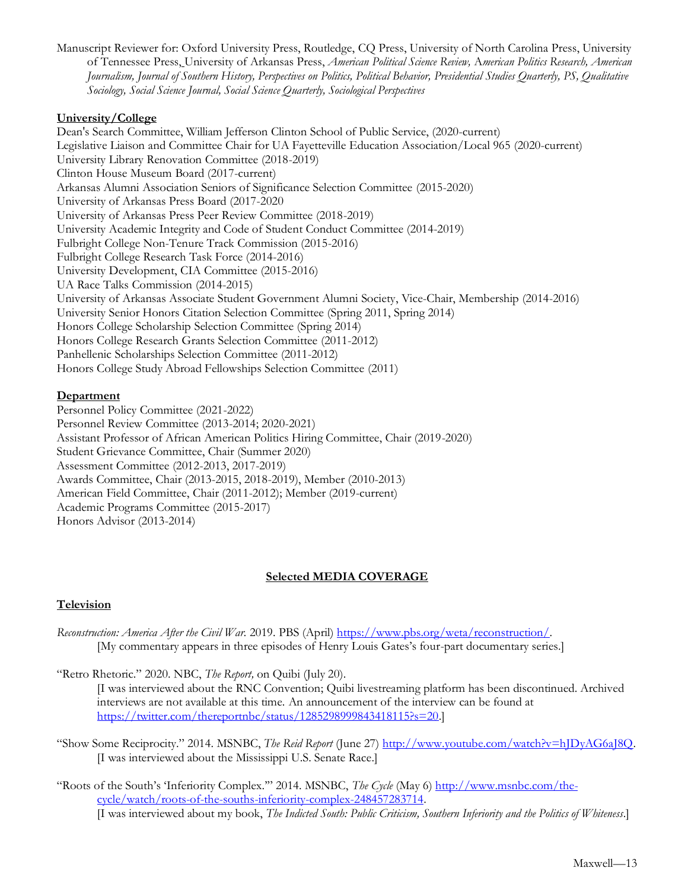Manuscript Reviewer for: Oxford University Press, Routledge, CQ Press, University of North Carolina Press, University of Tennessee Press, University of Arkansas Press, *American Political Science Review,* A*merican Politics Research, American Journalism, Journal of Southern History, Perspectives on Politics, Political Behavior, Presidential Studies Quarterly, PS, Qualitative Sociology, Social Science Journal, Social Science Quarterly, Sociological Perspectives*

## **University/College**

Dean's Search Committee, William Jefferson Clinton School of Public Service, (2020-current) Legislative Liaison and Committee Chair for UA Fayetteville Education Association/Local 965 (2020-current) University Library Renovation Committee (2018-2019) Clinton House Museum Board (2017-current) Arkansas Alumni Association Seniors of Significance Selection Committee (2015-2020) University of Arkansas Press Board (2017-2020 University of Arkansas Press Peer Review Committee (2018-2019) University Academic Integrity and Code of Student Conduct Committee (2014-2019) Fulbright College Non-Tenure Track Commission (2015-2016) Fulbright College Research Task Force (2014-2016) University Development, CIA Committee (2015-2016) UA Race Talks Commission (2014-2015) University of Arkansas Associate Student Government Alumni Society, Vice-Chair, Membership (2014-2016) University Senior Honors Citation Selection Committee (Spring 2011, Spring 2014) Honors College Scholarship Selection Committee (Spring 2014) Honors College Research Grants Selection Committee (2011-2012) Panhellenic Scholarships Selection Committee (2011-2012) Honors College Study Abroad Fellowships Selection Committee (2011)

# **Department**

Personnel Policy Committee (2021-2022) Personnel Review Committee (2013-2014; 2020-2021) Assistant Professor of African American Politics Hiring Committee, Chair (2019-2020) Student Grievance Committee, Chair (Summer 2020) Assessment Committee (2012-2013, 2017-2019) Awards Committee, Chair (2013-2015, 2018-2019), Member (2010-2013) American Field Committee, Chair (2011-2012); Member (2019-current) Academic Programs Committee (2015-2017) Honors Advisor (2013-2014)

# **Selected MEDIA COVERAGE**

## **Television**

*Reconstruction: America After the Civil War.* 2019. PBS (April) [https://www.pbs.org/weta/reconstruction/.](https://www.pbs.org/weta/reconstruction/) [My commentary appears in three episodes of Henry Louis Gates's four-part documentary series.]

"Retro Rhetoric." 2020. NBC, *The Report,* on Quibi (July 20).

[I was interviewed about the RNC Convention; Quibi livestreaming platform has been discontinued. Archived interviews are not available at this time. An announcement of the interview can be found at [https://twitter.com/thereportnbc/status/1285298999843418115?s=20.](https://twitter.com/thereportnbc/status/1285298999843418115?s=20)]

- "Show Some Reciprocity." 2014. MSNBC, *The Reid Report* (June 27) [http://www.youtube.com/watch?v=hJDyAG6aJ8Q.](http://www.youtube.com/watch?v=hJDyAG6aJ8Q) [I was interviewed about the Mississippi U.S. Senate Race.]
- "Roots of the South's 'Inferiority Complex.'" 2014. MSNBC, *The Cycle* (May 6) [http://www.msnbc.com/the](http://www.msnbc.com/the-cycle/watch/roots-of-the-souths-inferiority-complex-248457283714)[cycle/watch/roots-of-the-souths-inferiority-complex-248457283714.](http://www.msnbc.com/the-cycle/watch/roots-of-the-souths-inferiority-complex-248457283714) [I was interviewed about my book, *The Indicted South: Public Criticism, Southern Inferiority and the Politics of Whiteness*.]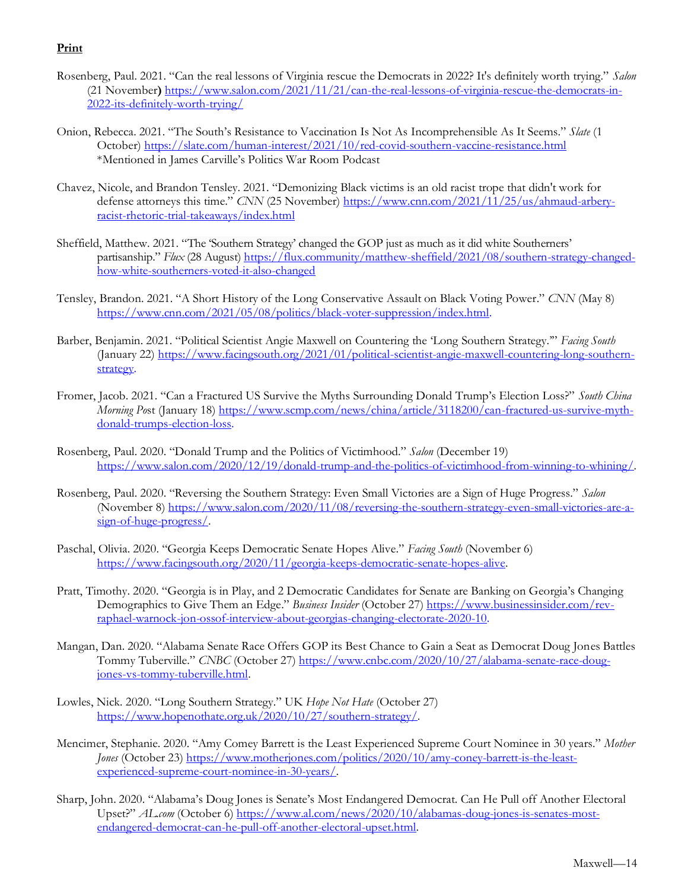# **Print**

- Rosenberg, Paul. 2021. "Can the real lessons of Virginia rescue the Democrats in 2022? It's definitely worth trying." *Salon* (21 November**)** [https://www.salon.com/2021/11/21/can-the-real-lessons-of-virginia-rescue-the-democrats-in-](https://www.salon.com/2021/11/21/can-the-real-lessons-of-virginia-rescue-the-democrats-in-2022-its-definitely-worth-trying/)[2022-its-definitely-worth-trying/](https://www.salon.com/2021/11/21/can-the-real-lessons-of-virginia-rescue-the-democrats-in-2022-its-definitely-worth-trying/)
- Onion, Rebecca. 2021. "The South's Resistance to Vaccination Is Not As Incomprehensible As It Seems." *Slate* (1 October)<https://slate.com/human-interest/2021/10/red-covid-southern-vaccine-resistance.html> \*Mentioned in James Carville's Politics War Room Podcast
- Chavez, Nicole, and Brandon Tensley. 2021. "Demonizing Black victims is an old racist trope that didn't work for defense attorneys this time." *CNN* (25 November) [https://www.cnn.com/2021/11/25/us/ahmaud-arbery](https://www.cnn.com/2021/11/25/us/ahmaud-arbery-racist-rhetoric-trial-takeaways/index.html)[racist-rhetoric-trial-takeaways/index.html](https://www.cnn.com/2021/11/25/us/ahmaud-arbery-racist-rhetoric-trial-takeaways/index.html)
- Sheffield, Matthew. 2021. "The 'Southern Strategy' changed the GOP just as much as it did white Southerners' partisanship." *Flux* (28 August) [https://flux.community/matthew-sheffield/2021/08/southern-strategy-changed](https://flux.community/matthew-sheffield/2021/08/southern-strategy-changed-how-white-southerners-voted-it-also-changed)[how-white-southerners-voted-it-also-changed](https://flux.community/matthew-sheffield/2021/08/southern-strategy-changed-how-white-southerners-voted-it-also-changed)
- Tensley, Brandon. 2021. "A Short History of the Long Conservative Assault on Black Voting Power." *CNN* (May 8) [https://www.cnn.com/2021/05/08/politics/black-voter-suppression/index.html.](https://www.cnn.com/2021/05/08/politics/black-voter-suppression/index.html)
- Barber, Benjamin. 2021. "Political Scientist Angie Maxwell on Countering the 'Long Southern Strategy.'" *Facing South* (January 22) [https://www.facingsouth.org/2021/01/political-scientist-angie-maxwell-countering-long-southern](https://www.facingsouth.org/2021/01/political-scientist-angie-maxwell-countering-long-southern-strategy)[strategy.](https://www.facingsouth.org/2021/01/political-scientist-angie-maxwell-countering-long-southern-strategy)
- Fromer, Jacob. 2021. "Can a Fractured US Survive the Myths Surrounding Donald Trump's Election Loss?" *South China Morning Po*st (January 18[\) https://www.scmp.com/news/china/article/3118200/can-fractured-us-survive-myth](https://www.scmp.com/news/china/article/3118200/can-fractured-us-survive-myth-donald-trumps-election-loss)[donald-trumps-election-loss.](https://www.scmp.com/news/china/article/3118200/can-fractured-us-survive-myth-donald-trumps-election-loss)
- Rosenberg, Paul. 2020. "Donald Trump and the Politics of Victimhood." *Salon* (December 19) [https://www.salon.com/2020/12/19/donald-trump-and-the-politics-of-victimhood-from-winning-to-whining/.](https://www.salon.com/2020/12/19/donald-trump-and-the-politics-of-victimhood-from-winning-to-whining/)
- Rosenberg, Paul. 2020. "Reversing the Southern Strategy: Even Small Victories are a Sign of Huge Progress." *Salon* (November 8[\) https://www.salon.com/2020/11/08/reversing-the-southern-strategy-even-small-victories-are-a](https://www.salon.com/2020/11/08/reversing-the-southern-strategy-even-small-victories-are-a-sign-of-huge-progress/)[sign-of-huge-progress/.](https://www.salon.com/2020/11/08/reversing-the-southern-strategy-even-small-victories-are-a-sign-of-huge-progress/)
- Paschal, Olivia. 2020. "Georgia Keeps Democratic Senate Hopes Alive." *Facing South* (November 6) [https://www.facingsouth.org/2020/11/georgia-keeps-democratic-senate-hopes-alive.](https://www.facingsouth.org/2020/11/georgia-keeps-democratic-senate-hopes-alive)
- Pratt, Timothy. 2020. "Georgia is in Play, and 2 Democratic Candidates for Senate are Banking on Georgia's Changing Demographics to Give Them an Edge." *Business Insider* (October 27[\) https://www.businessinsider.com/rev](https://www.businessinsider.com/rev-raphael-warnock-jon-ossof-interview-about-georgias-changing-electorate-2020-10)[raphael-warnock-jon-ossof-interview-about-georgias-changing-electorate-2020-10.](https://www.businessinsider.com/rev-raphael-warnock-jon-ossof-interview-about-georgias-changing-electorate-2020-10)
- Mangan, Dan. 2020. "Alabama Senate Race Offers GOP its Best Chance to Gain a Seat as Democrat Doug Jones Battles Tommy Tuberville." *CNBC* (October 27) [https://www.cnbc.com/2020/10/27/alabama-senate-race-doug](https://www.cnbc.com/2020/10/27/alabama-senate-race-doug-jones-vs-tommy-tuberville.html)[jones-vs-tommy-tuberville.html.](https://www.cnbc.com/2020/10/27/alabama-senate-race-doug-jones-vs-tommy-tuberville.html)
- Lowles, Nick. 2020. "Long Southern Strategy." UK *Hope Not Hate* (October 27) [https://www.hopenothate.org.uk/2020/10/27/southern-strategy/.](https://www.hopenothate.org.uk/2020/10/27/southern-strategy/)
- Mencimer, Stephanie. 2020. "Amy Comey Barrett is the Least Experienced Supreme Court Nominee in 30 years." *Mother Jones* (October 23) [https://www.motherjones.com/politics/2020/10/amy-coney-barrett-is-the-least](https://www.motherjones.com/politics/2020/10/amy-coney-barrett-is-the-least-experienced-supreme-court-nominee-in-30-years/)[experienced-supreme-court-nominee-in-30-years/.](https://www.motherjones.com/politics/2020/10/amy-coney-barrett-is-the-least-experienced-supreme-court-nominee-in-30-years/)
- Sharp, John. 2020. "Alabama's Doug Jones is Senate's Most Endangered Democrat. Can He Pull off Another Electoral Upset?" *AL.com* (October 6) [https://www.al.com/news/2020/10/alabamas-doug-jones-is-senates-most](https://www.al.com/news/2020/10/alabamas-doug-jones-is-senates-most-endangered-democrat-can-he-pull-off-another-electoral-upset.html)[endangered-democrat-can-he-pull-off-another-electoral-upset.html.](https://www.al.com/news/2020/10/alabamas-doug-jones-is-senates-most-endangered-democrat-can-he-pull-off-another-electoral-upset.html)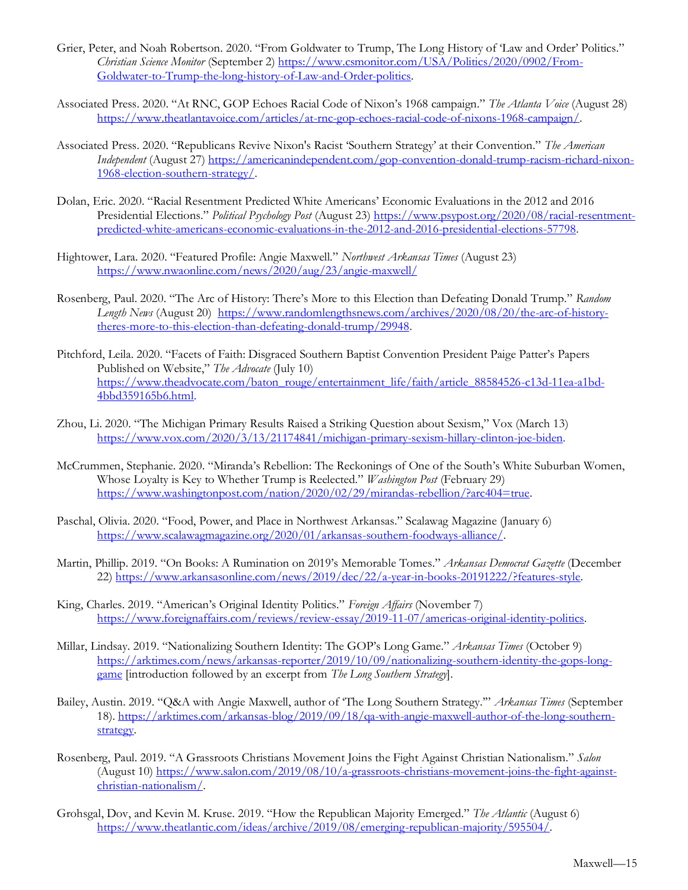- Grier, Peter, and Noah Robertson. 2020. "From Goldwater to Trump, The Long History of 'Law and Order' Politics." *Christian Science Monitor* (September 2) [https://www.csmonitor.com/USA/Politics/2020/0902/From-](https://www.csmonitor.com/USA/Politics/2020/0902/From-Goldwater-to-Trump-the-long-history-of-Law-and-Order-politics)[Goldwater-to-Trump-the-long-history-of-Law-and-Order-politics.](https://www.csmonitor.com/USA/Politics/2020/0902/From-Goldwater-to-Trump-the-long-history-of-Law-and-Order-politics)
- Associated Press. 2020. "At RNC, GOP Echoes Racial Code of Nixon's 1968 campaign." *The Atlanta Voice* (August 28) [https://www.theatlantavoice.com/articles/at-rnc-gop-echoes-racial-code-of-nixons-1968-campaign/.](https://www.theatlantavoice.com/articles/at-rnc-gop-echoes-racial-code-of-nixons-1968-campaign/)
- Associated Press. 2020. "Republicans Revive Nixon's Racist 'Southern Strategy' at their Convention." *The American Independent* (August 27) [https://americanindependent.com/gop-convention-donald-trump-racism-richard-nixon-](https://americanindependent.com/gop-convention-donald-trump-racism-richard-nixon-1968-election-southern-strategy/)[1968-election-southern-strategy/.](https://americanindependent.com/gop-convention-donald-trump-racism-richard-nixon-1968-election-southern-strategy/)
- Dolan, Eric. 2020. "Racial Resentment Predicted White Americans' Economic Evaluations in the 2012 and 2016 Presidential Elections." *Political Psychology Post* (August 23) [https://www.psypost.org/2020/08/racial-resentment](https://www.psypost.org/2020/08/racial-resentment-predicted-white-americans-economic-evaluations-in-the-2012-and-2016-presidential-elections-57798)[predicted-white-americans-economic-evaluations-in-the-2012-and-2016-presidential-elections-57798.](https://www.psypost.org/2020/08/racial-resentment-predicted-white-americans-economic-evaluations-in-the-2012-and-2016-presidential-elections-57798)
- Hightower, Lara. 2020. "Featured Profile: Angie Maxwell." *Northwest Arkansas Times* (August 23) <https://www.nwaonline.com/news/2020/aug/23/angie-maxwell/>
- Rosenberg, Paul. 2020. "The Arc of History: There's More to this Election than Defeating Donald Trump." *Random Length News* (August 20) [https://www.randomlengthsnews.com/archives/2020/08/20/the-arc-of-history](https://www.randomlengthsnews.com/archives/2020/08/20/the-arc-of-history-theres-more-to-this-election-than-defeating-donald-trump/29948)[theres-more-to-this-election-than-defeating-donald-trump/29948.](https://www.randomlengthsnews.com/archives/2020/08/20/the-arc-of-history-theres-more-to-this-election-than-defeating-donald-trump/29948)
- Pitchford, Leila. 2020. "Facets of Faith: Disgraced Southern Baptist Convention President Paige Patter's Papers Published on Website," *The Advocate* (July 10) [https://www.theadvocate.com/baton\\_rouge/entertainment\\_life/faith/article\\_88584526-c13d-11ea-a1bd-](https://www.theadvocate.com/baton_rouge/entertainment_life/faith/article_88584526-c13d-11ea-a1bd-4bbd359165b6.html)[4bbd359165b6.html.](https://www.theadvocate.com/baton_rouge/entertainment_life/faith/article_88584526-c13d-11ea-a1bd-4bbd359165b6.html)
- Zhou, Li. 2020. "The Michigan Primary Results Raised a Striking Question about Sexism," Vox (March 13) [https://www.vox.com/2020/3/13/21174841/michigan-primary-sexism-hillary-clinton-joe-biden.](https://www.vox.com/2020/3/13/21174841/michigan-primary-sexism-hillary-clinton-joe-biden)
- McCrummen, Stephanie. 2020. "Miranda's Rebellion: The Reckonings of One of the South's White Suburban Women, Whose Loyalty is Key to Whether Trump is Reelected." *Washington Post* (February 29) [https://www.washingtonpost.com/nation/2020/02/29/mirandas-rebellion/?arc404=true.](https://www.washingtonpost.com/nation/2020/02/29/mirandas-rebellion/?arc404=true)
- Paschal, Olivia. 2020. "Food, Power, and Place in Northwest Arkansas." Scalawag Magazine (January 6) [https://www.scalawagmagazine.org/2020/01/arkansas-southern-foodways-alliance/.](https://www.scalawagmagazine.org/2020/01/arkansas-southern-foodways-alliance/)
- Martin, Phillip. 2019. "On Books: A Rumination on 2019's Memorable Tomes." *Arkansas Democrat Gazette* (December 22[\) https://www.arkansasonline.com/news/2019/dec/22/a-year-in-books-20191222/?features-style.](https://www.arkansasonline.com/news/2019/dec/22/a-year-in-books-20191222/?features-style)
- King, Charles. 2019. "American's Original Identity Politics." *Foreign Affairs* (November 7) [https://www.foreignaffairs.com/reviews/review-essay/2019-11-07/americas-original-identity-politics.](https://www.foreignaffairs.com/reviews/review-essay/2019-11-07/americas-original-identity-politics)
- Millar, Lindsay. 2019. "Nationalizing Southern Identity: The GOP's Long Game." *Arkansas Times* (October 9) [https://arktimes.com/news/arkansas-reporter/2019/10/09/nationalizing-southern-identity-the-gops-long](https://arktimes.com/news/arkansas-reporter/2019/10/09/nationalizing-southern-identity-the-gops-long-game)[game](https://arktimes.com/news/arkansas-reporter/2019/10/09/nationalizing-southern-identity-the-gops-long-game) [introduction followed by an excerpt from *The Long Southern Strategy*].
- Bailey, Austin. 2019. "Q&A with Angie Maxwell, author of 'The Long Southern Strategy.'" *Arkansas Times* (September 18). [https://arktimes.com/arkansas-blog/2019/09/18/qa-with-angie-maxwell-author-of-the-long-southern](https://arktimes.com/arkansas-blog/2019/09/18/qa-with-angie-maxwell-author-of-the-long-southern-strategy)[strategy.](https://arktimes.com/arkansas-blog/2019/09/18/qa-with-angie-maxwell-author-of-the-long-southern-strategy)
- Rosenberg, Paul. 2019. "A Grassroots Christians Movement Joins the Fight Against Christian Nationalism." *Salon* (August 10) [https://www.salon.com/2019/08/10/a-grassroots-christians-movement-joins-the-fight-against](https://www.salon.com/2019/08/10/a-grassroots-christians-movement-joins-the-fight-against-christian-nationalism/)[christian-nationalism/.](https://www.salon.com/2019/08/10/a-grassroots-christians-movement-joins-the-fight-against-christian-nationalism/)
- Grohsgal, Dov, and Kevin M. Kruse. 2019. "How the Republican Majority Emerged." *The Atlantic* (August 6) [https://www.theatlantic.com/ideas/archive/2019/08/emerging-republican-majority/595504/.](https://www.theatlantic.com/ideas/archive/2019/08/emerging-republican-majority/595504/)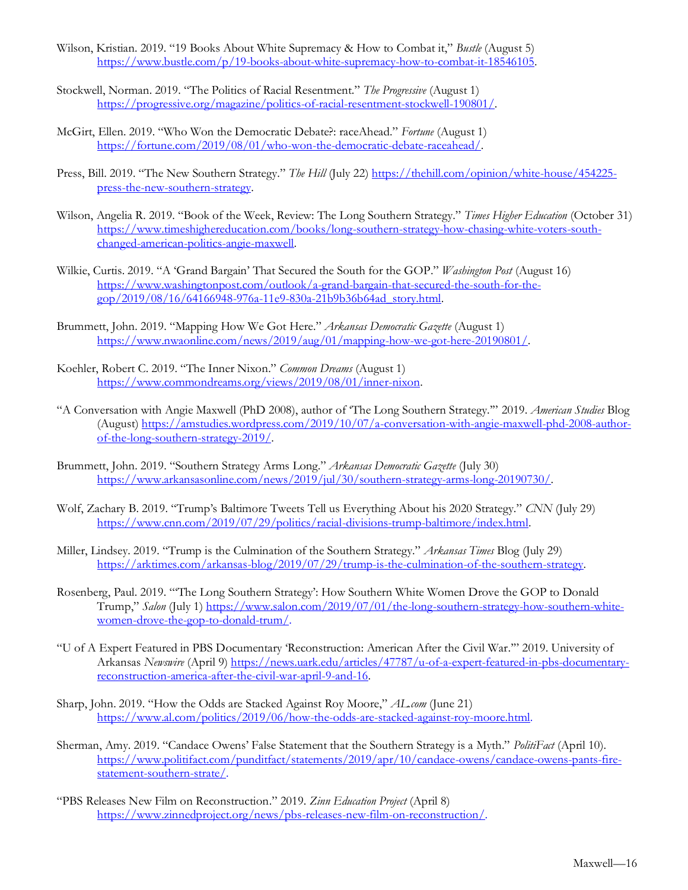- Wilson, Kristian. 2019. "19 Books About White Supremacy & How to Combat it," *Bustle* (August 5) [https://www.bustle.com/p/19-books-about-white-supremacy-how-to-combat-it-18546105.](https://www.bustle.com/p/19-books-about-white-supremacy-how-to-combat-it-18546105)
- Stockwell, Norman. 2019. "The Politics of Racial Resentment." *The Progressive* (August 1) [https://progressive.org/magazine/politics-of-racial-resentment-stockwell-190801/.](https://progressive.org/magazine/politics-of-racial-resentment-stockwell-190801/)
- McGirt, Ellen. 2019. "Who Won the Democratic Debate?: raceAhead." *Fortune* (August 1) [https://fortune.com/2019/08/01/who-won-the-democratic-debate-raceahead/.](https://fortune.com/2019/08/01/who-won-the-democratic-debate-raceahead/)
- Press, Bill. 2019. "The New Southern Strategy." *The Hill* (July 22) [https://thehill.com/opinion/white-house/454225](https://thehill.com/opinion/white-house/454225-press-the-new-southern-strategy) [press-the-new-southern-strategy.](https://thehill.com/opinion/white-house/454225-press-the-new-southern-strategy)
- Wilson, Angelia R. 2019. "Book of the Week, Review: The Long Southern Strategy." *Times Higher Education* (October 31) [https://www.timeshighereducation.com/books/long-southern-strategy-how-chasing-white-voters-south](https://www.timeshighereducation.com/books/long-southern-strategy-how-chasing-white-voters-south-changed-american-politics-angie-maxwell)[changed-american-politics-angie-maxwell.](https://www.timeshighereducation.com/books/long-southern-strategy-how-chasing-white-voters-south-changed-american-politics-angie-maxwell)
- Wilkie, Curtis. 2019. "A 'Grand Bargain' That Secured the South for the GOP." *Washington Post* (August 16) [https://www.washingtonpost.com/outlook/a-grand-bargain-that-secured-the-south-for-the](https://www.washingtonpost.com/outlook/a-grand-bargain-that-secured-the-south-for-the-gop/2019/08/16/64166948-976a-11e9-830a-21b9b36b64ad_story.html)[gop/2019/08/16/64166948-976a-11e9-830a-21b9b36b64ad\\_story.html.](https://www.washingtonpost.com/outlook/a-grand-bargain-that-secured-the-south-for-the-gop/2019/08/16/64166948-976a-11e9-830a-21b9b36b64ad_story.html)
- Brummett, John. 2019. "Mapping How We Got Here." *Arkansas Democratic Gazette* (August 1) [https://www.nwaonline.com/news/2019/aug/01/mapping-how-we-got-here-20190801/.](https://www.nwaonline.com/news/2019/aug/01/mapping-how-we-got-here-20190801/)
- Koehler, Robert C. 2019. "The Inner Nixon." *Common Dreams* (August 1) [https://www.commondreams.org/views/2019/08/01/inner-nixon.](https://www.commondreams.org/views/2019/08/01/inner-nixon)
- "A Conversation with Angie Maxwell (PhD 2008), author of 'The Long Southern Strategy.'" 2019. *American Studies* Blog (August) [https://amstudies.wordpress.com/2019/10/07/a-conversation-with-angie-maxwell-phd-2008-author](https://amstudies.wordpress.com/2019/10/07/a-conversation-with-angie-maxwell-phd-2008-author-of-the-long-southern-strategy-2019/)[of-the-long-southern-strategy-2019/.](https://amstudies.wordpress.com/2019/10/07/a-conversation-with-angie-maxwell-phd-2008-author-of-the-long-southern-strategy-2019/)
- Brummett, John. 2019. "Southern Strategy Arms Long." *Arkansas Democratic Gazette* (July 30) [https://www.arkansasonline.com/news/2019/jul/30/southern-strategy-arms-long-20190730/.](https://www.arkansasonline.com/news/2019/jul/30/southern-strategy-arms-long-20190730/)
- Wolf, Zachary B. 2019. "Trump's Baltimore Tweets Tell us Everything About his 2020 Strategy." *CNN* (July 29) [https://www.cnn.com/2019/07/29/politics/racial-divisions-trump-baltimore/index.html.](https://www.cnn.com/2019/07/29/politics/racial-divisions-trump-baltimore/index.html)
- Miller, Lindsey. 2019. "Trump is the Culmination of the Southern Strategy." *Arkansas Times* Blog (July 29) [https://arktimes.com/arkansas-blog/2019/07/29/trump-is-the-culmination-of-the-southern-strategy.](https://arktimes.com/arkansas-blog/2019/07/29/trump-is-the-culmination-of-the-southern-strategy)
- Rosenberg, Paul. 2019. "'The Long Southern Strategy': How Southern White Women Drove the GOP to Donald Trump," Salon (July 1) [https://www.salon.com/2019/07/01/the-long-southern-strategy-how-southern-white](https://www.salon.com/2019/07/01/the-long-southern-strategy-how-southern-white-women-drove-the-gop-to-donald-trum/)[women-drove-the-gop-to-donald-trum/.](https://www.salon.com/2019/07/01/the-long-southern-strategy-how-southern-white-women-drove-the-gop-to-donald-trum/)
- "U of A Expert Featured in PBS Documentary 'Reconstruction: American After the Civil War.'" 2019. University of Arkansas *Newswire* (April 9) [https://news.uark.edu/articles/47787/u-of-a-expert-featured-in-pbs-documentary](https://news.uark.edu/articles/47787/u-of-a-expert-featured-in-pbs-documentary-reconstruction-america-after-the-civil-war-april-9-and-16)[reconstruction-america-after-the-civil-war-april-9-and-16.](https://news.uark.edu/articles/47787/u-of-a-expert-featured-in-pbs-documentary-reconstruction-america-after-the-civil-war-april-9-and-16)
- Sharp, John. 2019. "How the Odds are Stacked Against Roy Moore," *AL.com* (June 21) [https://www.al.com/politics/2019/06/how-the-odds-are-stacked-against-roy-moore.html.](https://www.al.com/politics/2019/06/how-the-odds-are-stacked-against-roy-moore.html)
- Sherman, Amy. 2019. "Candace Owens' False Statement that the Southern Strategy is a Myth." *PolitiFact* (April 10). [https://www.politifact.com/punditfact/statements/2019/apr/10/candace-owens/candace-owens-pants-fire](https://www.politifact.com/punditfact/statements/2019/apr/10/candace-owens/candace-owens-pants-fire-statement-southern-strate/)[statement-southern-strate/.](https://www.politifact.com/punditfact/statements/2019/apr/10/candace-owens/candace-owens-pants-fire-statement-southern-strate/)
- "PBS Releases New Film on Reconstruction." 2019. *Zinn Education Project* (April 8) [https://www.zinnedproject.org/news/pbs-releases-new-film-on-reconstruction/.](https://www.zinnedproject.org/news/pbs-releases-new-film-on-reconstruction/)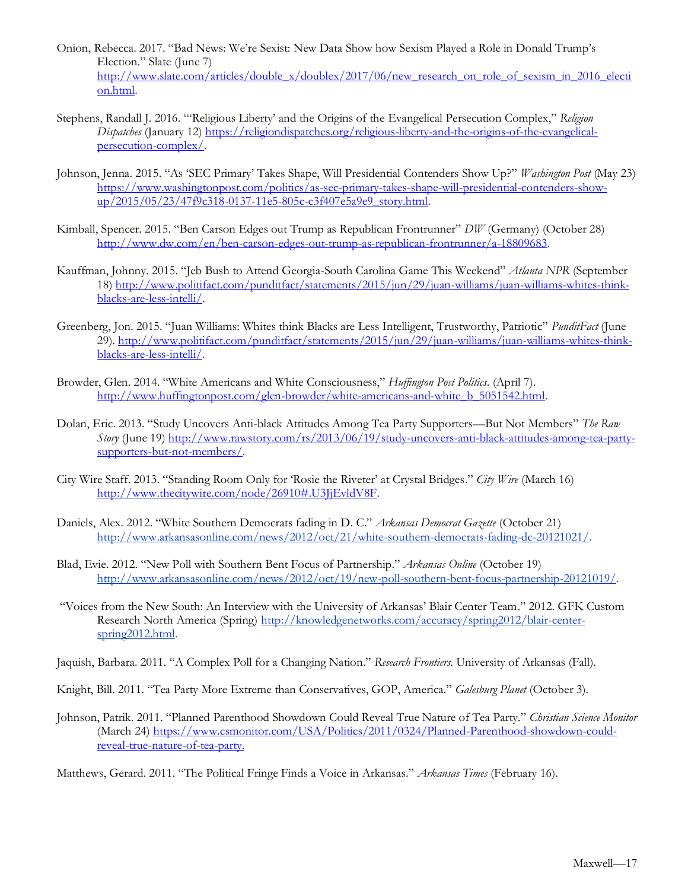- Onion, Rebecca. 2017. "Bad News: We're Sexist: New Data Show how Sexism Played a Role in Donald Trump's Election." Slate (June 7) [http://www.slate.com/articles/double\\_x/doublex/2017/06/new\\_research\\_on\\_role\\_of\\_sexism\\_in\\_2016\\_electi](http://www.slate.com/articles/double_x/doublex/2017/06/new_research_on_role_of_sexism_in_2016_election.html) [on.html.](http://www.slate.com/articles/double_x/doublex/2017/06/new_research_on_role_of_sexism_in_2016_election.html)
- Stephens, Randall J. 2016. "'Religious Liberty' and the Origins of the Evangelical Persecution Complex," *Religion Dispatches* (January 12[\) https://religiondispatches.org/religious-liberty-and-the-origins-of-the-evangelical](https://religiondispatches.org/religious-liberty-and-the-origins-of-the-evangelical-persecution-complex/)[persecution-complex/.](https://religiondispatches.org/religious-liberty-and-the-origins-of-the-evangelical-persecution-complex/)
- Johnson, Jenna. 2015. "As 'SEC Primary' Takes Shape, Will Presidential Contenders Show Up?" *Washington Post* (May 23) [https://www.washingtonpost.com/politics/as-sec-primary-takes-shape-will-presidential-contenders-show](https://www.washingtonpost.com/politics/as-sec-primary-takes-shape-will-presidential-contenders-show-up/2015/05/23/47f9c318-0137-11e5-805c-c3f407e5a9e9_story.html)[up/2015/05/23/47f9c318-0137-11e5-805c-c3f407e5a9e9\\_story.html.](https://www.washingtonpost.com/politics/as-sec-primary-takes-shape-will-presidential-contenders-show-up/2015/05/23/47f9c318-0137-11e5-805c-c3f407e5a9e9_story.html)
- Kimball, Spencer. 2015. "Ben Carson Edges out Trump as Republican Frontrunner" *DW* (Germany) (October 28) [http://www.dw.com/en/ben-carson-edges-out-trump-as-republican-frontrunner/a-18809683.](http://www.dw.com/en/ben-carson-edges-out-trump-as-republican-frontrunner/a-18809683)
- Kauffman, Johnny. 2015. "Jeb Bush to Attend Georgia-South Carolina Game This Weekend" *Atlanta NPR* (September 18[\) http://www.politifact.com/punditfact/statements/2015/jun/29/juan-williams/juan-williams-whites-think](http://www.politifact.com/punditfact/statements/2015/jun/29/juan-williams/juan-williams-whites-think-blacks-are-less-intelli/)[blacks-are-less-intelli/.](http://www.politifact.com/punditfact/statements/2015/jun/29/juan-williams/juan-williams-whites-think-blacks-are-less-intelli/)
- Greenberg, Jon. 2015. "Juan Williams: Whites think Blacks are Less Intelligent, Trustworthy, Patriotic" *PunditFact* (June 29). [http://www.politifact.com/punditfact/statements/2015/jun/29/juan-williams/juan-williams-whites-think](http://www.politifact.com/punditfact/statements/2015/jun/29/juan-williams/juan-williams-whites-think-blacks-are-less-intelli/)[blacks-are-less-intelli/.](http://www.politifact.com/punditfact/statements/2015/jun/29/juan-williams/juan-williams-whites-think-blacks-are-less-intelli/)
- Browder, Glen. 2014. "White Americans and White Consciousness," *Huffington Post Politics*. (April 7). [http://www.huffingtonpost.com/glen-browder/white-americans-and-white\\_b\\_5051542.html.](http://www.huffingtonpost.com/glen-browder/white-americans-and-white_b_5051542.html)
- Dolan, Eric. 2013. "Study Uncovers Anti-black Attitudes Among Tea Party Supporters—But Not Members" *The Raw Story* (June 19) [http://www.rawstory.com/rs/2013/06/19/study-uncovers-anti-black-attitudes-among-tea-party](http://www.rawstory.com/rs/2013/06/19/study-uncovers-anti-black-attitudes-among-tea-party-supporters-but-not-members/)[supporters-but-not-members/.](http://www.rawstory.com/rs/2013/06/19/study-uncovers-anti-black-attitudes-among-tea-party-supporters-but-not-members/)
- City Wire Staff. 2013. "Standing Room Only for 'Rosie the Riveter' at Crystal Bridges." *City Wire* (March 16) [http://www.thecitywire.com/node/26910#.U3JjEvldV8F.](http://www.thecitywire.com/node/26910#.U3JjEvldV8F)
- Daniels, Alex. 2012. "White Southern Democrats fading in D. C." *Arkansas Democrat Gazette* (October 21) [http://www.arkansasonline.com/news/2012/oct/21/white-southern-democrats-fading-dc-20121021/.](http://www.arkansasonline.com/news/2012/oct/21/white-southern-democrats-fading-dc-20121021/)
- Blad, Evie. 2012. "New Poll with Southern Bent Focus of Partnership." *Arkansas Online* (October 19) [http://www.arkansasonline.com/news/2012/oct/19/new-poll-southern-bent-focus-partnership-20121019/.](http://www.arkansasonline.com/news/2012/oct/19/new-poll-southern-bent-focus-partnership-20121019/)
- "Voices from the New South: An Interview with the University of Arkansas' Blair Center Team." 2012. GFK Custom Research North America (Spring) [http://knowledgenetworks.com/accuracy/spring2012/blair-center](http://knowledgenetworks.com/accuracy/spring2012/blair-center-spring2012.html)[spring2012.html.](http://knowledgenetworks.com/accuracy/spring2012/blair-center-spring2012.html)

Jaquish, Barbara. 2011. "A Complex Poll for a Changing Nation." *Research Frontiers.* University of Arkansas (Fall).

Knight, Bill. 2011. "Tea Party More Extreme than Conservatives, GOP, America." *Galesburg Planet* (October 3).

Johnson, Patrik. 2011. "Planned Parenthood Showdown Could Reveal True Nature of Tea Party." *Christian Science Monitor* (March 24) [https://www.csmonitor.com/USA/Politics/2011/0324/Planned-Parenthood-showdown-could](https://www.csmonitor.com/USA/Politics/2011/0324/Planned-Parenthood-showdown-could-reveal-true-nature-of-tea-party)[reveal-true-nature-of-tea-party.](https://www.csmonitor.com/USA/Politics/2011/0324/Planned-Parenthood-showdown-could-reveal-true-nature-of-tea-party)

Matthews, Gerard. 2011. "The Political Fringe Finds a Voice in Arkansas." *Arkansas Times* (February 16).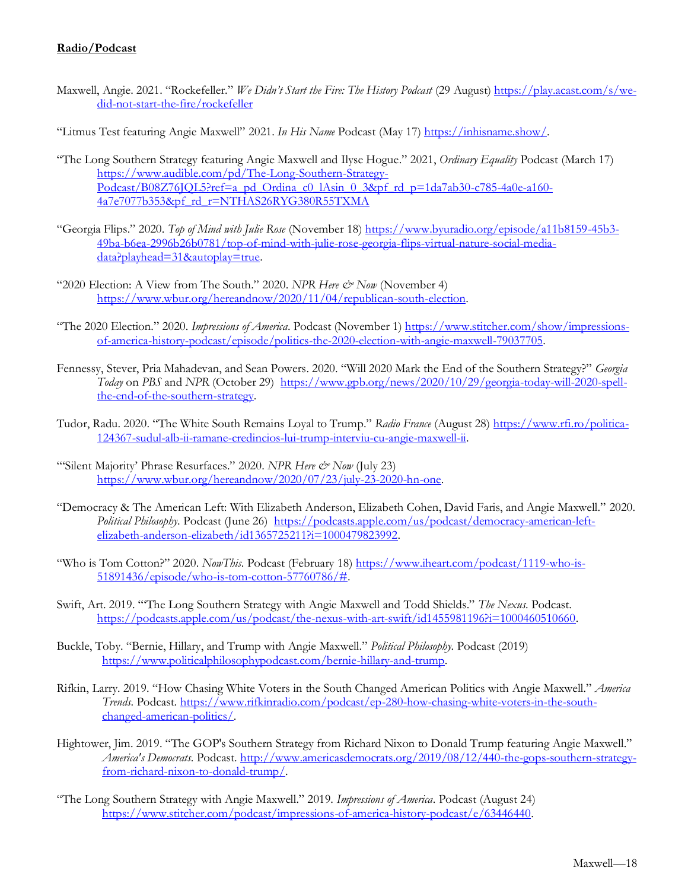# **Radio/Podcast**

- Maxwell, Angie. 2021. "Rockefeller." We Didn't Start the Fire: The History Podcast (29 August[\) https://play.acast.com/s/we](https://play.acast.com/s/we-did-not-start-the-fire/rockefeller)[did-not-start-the-fire/rockefeller](https://play.acast.com/s/we-did-not-start-the-fire/rockefeller)
- "Litmus Test featuring Angie Maxwell" 2021. *In His Name* Podcast (May 17[\) https://inhisname.show/.](https://inhisname.show/)
- "The Long Southern Strategy featuring Angie Maxwell and Ilyse Hogue." 2021, *Ordinary Equality* Podcast (March 17) [https://www.audible.com/pd/The-Long-Southern-Strategy-](https://www.audible.com/pd/The-Long-Southern-Strategy-Podcast/B08Z76JQL5?ref=a_pd_Ordina_c0_lAsin_0_3&pf_rd_p=1da7ab30-c785-4a0e-a160-4a7e7077b353&pf_rd_r=NTHAS26RYG380R55TXMA) $Podcast/B08Z76IOL5?ref=a$  pd Ordina c0 lAsin 0.3&pf rd p=1da7ab30-c785-4a0e-a160- $4a7e7077b3538cf$ rd $r=NTHAS26RYG380R55TXMA$
- "Georgia Flips." 2020. *Top of Mind with Julie Rose* (November 18) [https://www.byuradio.org/episode/a11b8159-45b3-](https://www.byuradio.org/episode/a11b8159-45b3-49ba-b6ea-2996b26b0781/top-of-mind-with-julie-rose-georgia-flips-virtual-nature-social-media-data?playhead=31&autoplay=true) [49ba-b6ea-2996b26b0781/top-of-mind-with-julie-rose-georgia-flips-virtual-nature-social-media](https://www.byuradio.org/episode/a11b8159-45b3-49ba-b6ea-2996b26b0781/top-of-mind-with-julie-rose-georgia-flips-virtual-nature-social-media-data?playhead=31&autoplay=true)[data?playhead=31&autoplay=true.](https://www.byuradio.org/episode/a11b8159-45b3-49ba-b6ea-2996b26b0781/top-of-mind-with-julie-rose-georgia-flips-virtual-nature-social-media-data?playhead=31&autoplay=true)
- "2020 Election: A View from The South." 2020. *NPR Here & Now* (November 4) [https://www.wbur.org/hereandnow/2020/11/04/republican-south-election.](https://www.wbur.org/hereandnow/2020/11/04/republican-south-election)
- "The 2020 Election." 2020. *Impressions of America*. Podcast (November 1[\) https://www.stitcher.com/show/impressions](https://www.stitcher.com/show/impressions-of-america-history-podcast/episode/politics-the-2020-election-with-angie-maxwell-79037705)[of-america-history-podcast/episode/politics-the-2020-election-with-angie-maxwell-79037705.](https://www.stitcher.com/show/impressions-of-america-history-podcast/episode/politics-the-2020-election-with-angie-maxwell-79037705)
- Fennessy, Stever, Pria Mahadevan, and Sean Powers. 2020. "Will 2020 Mark the End of the Southern Strategy?" *Georgia Today* on *PBS* and *NPR* (October 29) [https://www.gpb.org/news/2020/10/29/georgia-today-will-2020-spell](https://www.gpb.org/news/2020/10/29/georgia-today-will-2020-spell-the-end-of-the-southern-strategy)[the-end-of-the-southern-strategy.](https://www.gpb.org/news/2020/10/29/georgia-today-will-2020-spell-the-end-of-the-southern-strategy)
- Tudor, Radu. 2020. "The White South Remains Loyal to Trump." *Radio France* (August 28) [https://www.rfi.ro/politica-](https://www.rfi.ro/politica-124367-sudul-alb-ii-ramane-credincios-lui-trump-interviu-cu-angie-maxwell-ii)[124367-sudul-alb-ii-ramane-credincios-lui-trump-interviu-cu-angie-maxwell-ii.](https://www.rfi.ro/politica-124367-sudul-alb-ii-ramane-credincios-lui-trump-interviu-cu-angie-maxwell-ii)
- "Silent Majority' Phrase Resurfaces." 2020. *NPR Here & Now* (July 23) [https://www.wbur.org/hereandnow/2020/07/23/july-23-2020-hn-one.](https://www.wbur.org/hereandnow/2020/07/23/july-23-2020-hn-one)
- "Democracy & The American Left: With Elizabeth Anderson, Elizabeth Cohen, David Faris, and Angie Maxwell." 2020. *Political Philosophy*. Podcast (June 26) [https://podcasts.apple.com/us/podcast/democracy-american-left](https://podcasts.apple.com/us/podcast/democracy-american-left-elizabeth-anderson-elizabeth/id1365725211?i=1000479823992)[elizabeth-anderson-elizabeth/id1365725211?i=1000479823992.](https://podcasts.apple.com/us/podcast/democracy-american-left-elizabeth-anderson-elizabeth/id1365725211?i=1000479823992)
- "Who is Tom Cotton?" 2020. *NowThis*. Podcast (February 18[\) https://www.iheart.com/podcast/1119-who-is-](https://www.iheart.com/podcast/1119-who-is-51891436/episode/who-is-tom-cotton-57760786/)[51891436/episode/who-is-tom-cotton-57760786/#.](https://www.iheart.com/podcast/1119-who-is-51891436/episode/who-is-tom-cotton-57760786/)
- Swift, Art. 2019. "'The Long Southern Strategy with Angie Maxwell and Todd Shields." *The Nexus*. Podcast. [https://podcasts.apple.com/us/podcast/the-nexus-with-art-swift/id1455981196?i=1000460510660.](https://podcasts.apple.com/us/podcast/the-nexus-with-art-swift/id1455981196?i=1000460510660)
- Buckle, Toby. "Bernie, Hillary, and Trump with Angie Maxwell." *Political Philosophy*. Podcast (2019) [https://www.politicalphilosophypodcast.com/bernie-hillary-and-trump.](https://www.politicalphilosophypodcast.com/bernie-hillary-and-trump)
- Rifkin, Larry. 2019. "How Chasing White Voters in the South Changed American Politics with Angie Maxwell." *America Trends*. Podcast. [https://www.rifkinradio.com/podcast/ep-280-how-chasing-white-voters-in-the-south](https://www.rifkinradio.com/podcast/ep-280-how-chasing-white-voters-in-the-south-changed-american-politics/)[changed-american-politics/.](https://www.rifkinradio.com/podcast/ep-280-how-chasing-white-voters-in-the-south-changed-american-politics/)
- Hightower, Jim. 2019. "The GOP's Southern Strategy from Richard Nixon to Donald Trump featuring Angie Maxwell." *America's Democrats*. Podcast[. http://www.americasdemocrats.org/2019/08/12/440-the-gops-southern-strategy](http://www.americasdemocrats.org/2019/08/12/440-the-gops-southern-strategy-from-richard-nixon-to-donald-trump/)[from-richard-nixon-to-donald-trump/.](http://www.americasdemocrats.org/2019/08/12/440-the-gops-southern-strategy-from-richard-nixon-to-donald-trump/)
- "The Long Southern Strategy with Angie Maxwell." 2019. *Impressions of America*. Podcast (August 24) [https://www.stitcher.com/podcast/impressions-of-america-history-podcast/e/63446440.](https://www.stitcher.com/podcast/impressions-of-america-history-podcast/e/63446440)